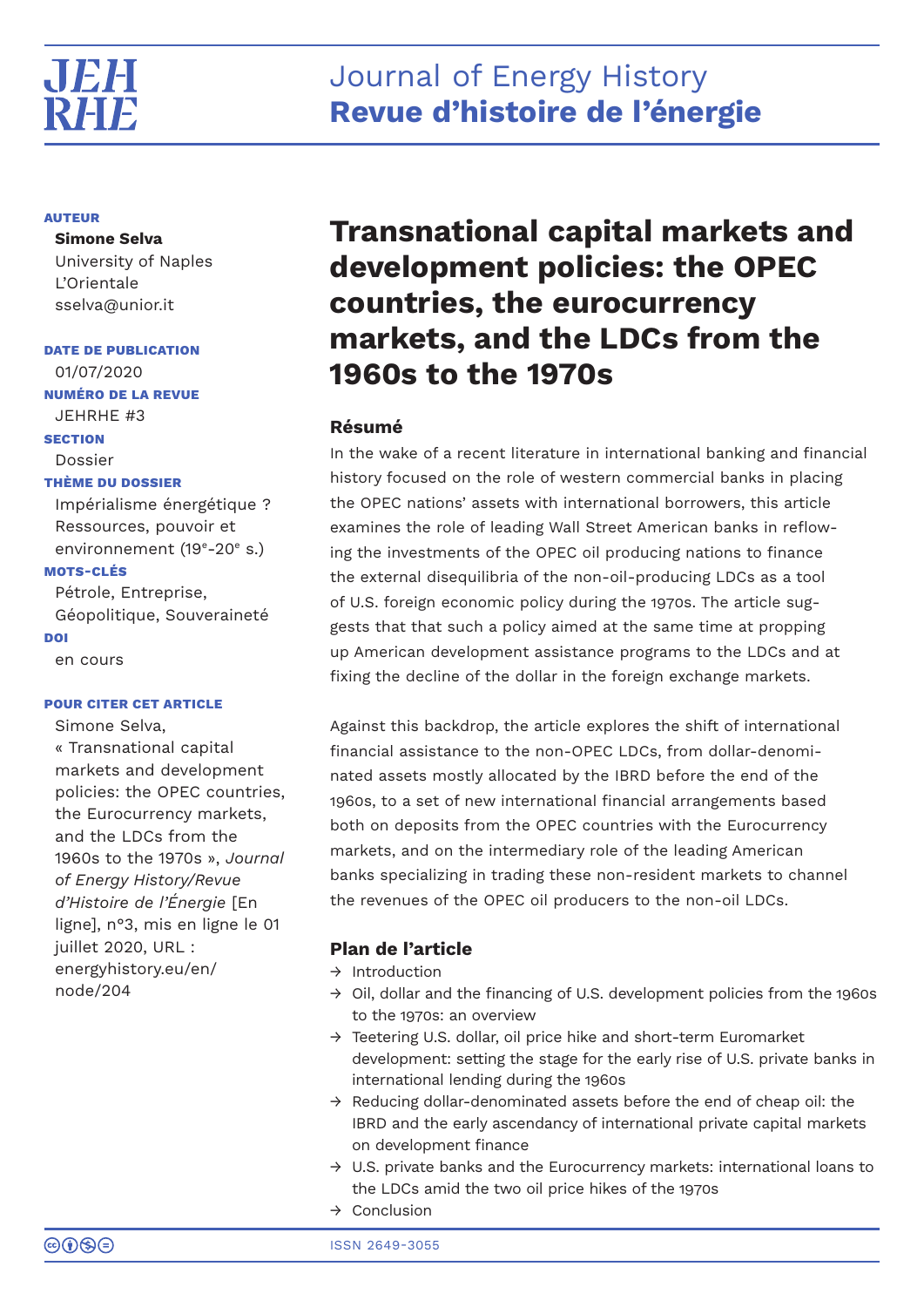## Journal of Energy History **Revue d'histoire de l'énergie**

#### **AUTEUR**

**Simone Selva** University of Naples L'Orientale sselva@unior.it

**DATE DE PUBLICATION** 01/07/2020

**NUMÉRO DE LA REVUE**

JEHRHE #3

**SECTION**

#### Dossier

#### **THÈME DU DOSSIER**

Impérialisme énergétique ? Ressources, pouvoir et environnement (19<sup>e</sup>-20<sup>e</sup> s.)

### **MOTS-CLÉS**

Pétrole, Entreprise, Géopolitique, Souveraineté **DOI** en cours

#### **POUR CITER CET ARTICLE**

Simone Selva, « Transnational capital markets and development policies: the OPEC countries, the Eurocurrency markets, and the LDCs from the 1960s to the 1970s », *Journal of Energy History/Revue d'Histoire de l'Énergie* [En ligne], n°3, mis en ligne le 01 juillet 2020, URL : energyhistory.eu/en/ node/204

# **Transnational capital markets and development policies: the OPEC countries, the eurocurrency markets, and the LDCs from the 1960s to the 1970s**

## **Résumé**

In the wake of a recent literature in international banking and financial history focused on the role of western commercial banks in placing the OPEC nations' assets with international borrowers, this article examines the role of leading Wall Street American banks in reflowing the investments of the OPEC oil producing nations to finance the external disequilibria of the non-oil-producing LDCs as a tool of U.S. foreign economic policy during the 1970s. The article suggests that that such a policy aimed at the same time at propping up American development assistance programs to the LDCs and at fixing the decline of the dollar in the foreign exchange markets.

Against this backdrop, the article explores the shift of international financial assistance to the non-OPEC LDCs, from dollar-denominated assets mostly allocated by the IBRD before the end of the 1960s, to a set of new international financial arrangements based both on deposits from the OPEC countries with the Eurocurrency markets, and on the intermediary role of the leading American banks specializing in trading these non-resident markets to channel the revenues of the OPEC oil producers to the non-oil LDCs.

## **Plan de l'article**

- → Introduction
- $\rightarrow$  Oil, dollar and the financing of U.S. development policies from the 1960s to the 1970s: an overview
- → Teetering U.S. dollar, oil price hike and short-term Euromarket development: setting the stage for the early rise of U.S. private banks in international lending during the 1960s
- $\rightarrow$  Reducing dollar-denominated assets before the end of cheap oil: the IBRD and the early ascendancy of international private capital markets on development finance
- $\rightarrow$  U.S. private banks and the Eurocurrency markets: international loans to the LDCs amid the two oil price hikes of the 1970s
- → Conclusion

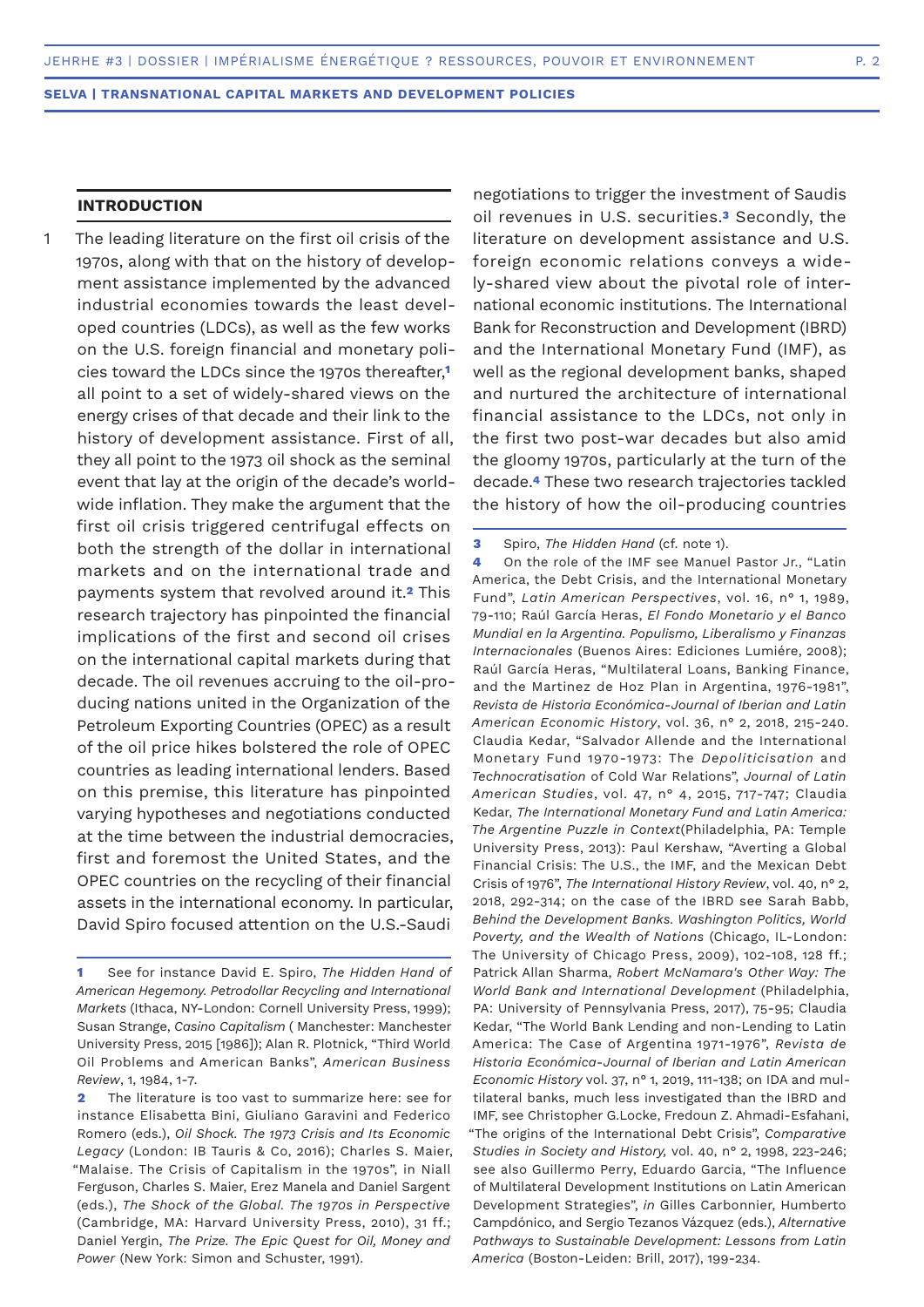## **INTRODUCTION**

The leading literature on the first oil crisis of the 1970s, along with that on the history of development assistance implemented by the advanced industrial economies towards the least developed countries (LDCs), as well as the few works on the U.S. foreign financial and monetary policies toward the LDCs since the 1970s thereafter,**<sup>1</sup>** all point to a set of widely-shared views on the energy crises of that decade and their link to the history of development assistance. First of all, they all point to the 1973 oil shock as the seminal event that lay at the origin of the decade's worldwide inflation. They make the argument that the first oil crisis triggered centrifugal effects on both the strength of the dollar in international markets and on the international trade and payments system that revolved around it.**2** This research trajectory has pinpointed the financial implications of the first and second oil crises on the international capital markets during that decade. The oil revenues accruing to the oil-producing nations united in the Organization of the Petroleum Exporting Countries (OPEC) as a result of the oil price hikes bolstered the role of OPEC countries as leading international lenders. Based on this premise, this literature has pinpointed varying hypotheses and negotiations conducted at the time between the industrial democracies, first and foremost the United States, and the OPEC countries on the recycling of their financial assets in the international economy. In particular, David Spiro focused attention on the U.S.-Saudi 1

negotiations to trigger the investment of Saudis oil revenues in U.S. securities.**3** Secondly, the literature on development assistance and U.S. foreign economic relations conveys a widely-shared view about the pivotal role of international economic institutions. The International Bank for Reconstruction and Development (IBRD) and the International Monetary Fund (IMF), as well as the regional development banks, shaped and nurtured the architecture of international financial assistance to the LDCs, not only in the first two post-war decades but also amid the gloomy 1970s, particularly at the turn of the decade.**4** These two research trajectories tackled the history of how the oil-producing countries

**4** On the role of the IMF see Manuel Pastor Jr., "Latin America, the Debt Crisis, and the International Monetary Fund", *Latin American Perspectives*, vol. 16, n° 1, 1989, 79-110; Raúl García Heras, *El Fondo Monetario y el Banco Mundial en la Argentina. Populismo, Liberalismo y Finanzas Internacionales* (Buenos Aires: Ediciones Lumiére, 2008); Raúl García Heras, "Multilateral Loans, Banking Finance, and the Martinez de Hoz Plan in Argentina, 1976-1981", *Revista de Historia Económica-Journal of Iberian and Latin American Economic History*, vol. 36, n° 2, 2018, 215-240. Claudia Kedar, "Salvador Allende and the International Monetary Fund 1970-1973: The *Depoliticisation* and *Technocratisation* of Cold War Relations", *Journal of Latin American Studies*, vol. 47, n° 4, 2015, 717-747; Claudia Kedar, *The International Monetary Fund and Latin America: The Argentine Puzzle in Context*(Philadelphia, PA: Temple University Press, 2013): Paul Kershaw, "Averting a Global Financial Crisis: The U.S., the IMF, and the Mexican Debt Crisis of1976", *The International History Review*, vol. 40, n° 2, 2018, 292-314; on the case of the IBRD see Sarah Babb, *Behind the Development Banks. Washington Politics, World Poverty, and the Wealth of Nations* (Chicago, IL-London: The University of Chicago Press, 2009), 102-108, 128 ff.; Patrick Allan Sharma, *Robert McNamara's Other Way: The World Bank and International Development* (Philadelphia, PA: University of Pennsylvania Press, 2017), 75-95; Claudia Kedar, "The World Bank Lending and non-Lending to Latin America: The Case of Argentina 1971-1976", *Revista de Historia Económica*-*Journal of Iberian and Latin American Economic History* vol. 37, n° 1, 2019, 111-138; on IDA and multilateral banks, much less investigated than the IBRD and IMF, see Christopher G.Locke, Fredoun Z. Ahmadi-Esfahani, "The origins of the International Debt Crisis", *Comparative Studies in Society and History,* vol. 40, n° 2, 1998, 223-246; see also Guillermo Perry, Eduardo Garcia, "The Influence of Multilateral Development Institutions on Latin American Development Strategies", *in* Gilles Carbonnier, Humberto Campdónico, and Sergio Tezanos Vázquez (eds.), *Alternative Pathways to Sustainable Development: Lessons from Latin America* (Boston-Leiden: Brill, 2017), 199-234.

**<sup>1</sup>** See for instance David E. Spiro, *The Hidden Hand of American Hegemony. Petrodollar Recycling and International Markets* (Ithaca, NY-London: Cornell University Press, 1999); Susan Strange, *Casino Capitalism* ( Manchester: Manchester University Press, 2015 [1986]); Alan R. Plotnick, "Third World Oil Problems and American Banks", *American Business Review*, 1, 1984, 1-7.

**<sup>2</sup>** The literature is too vast to summarize here: see for instance Elisabetta Bini, Giuliano Garavini and Federico Romero (eds.), *Oil Shock. The 1973 Crisis and Its Economic Legacy* (London: IB Tauris & Co, 2016); Charles S. Maier, "Malaise. The Crisis of Capitalism in the 1970s", in Niall Ferguson, Charles S. Maier, Erez Manela and Daniel Sargent (eds.), *The Shock of the Global. The 1970s in Perspective* (Cambridge, MA: Harvard University Press, 2010), 31 ff.; Daniel Yergin, *The Prize. The Epic Quest for Oil, Money and Power* (New York: Simon and Schuster, 1991).

**<sup>3</sup>** Spiro, *The Hidden Hand* (cf. note 1).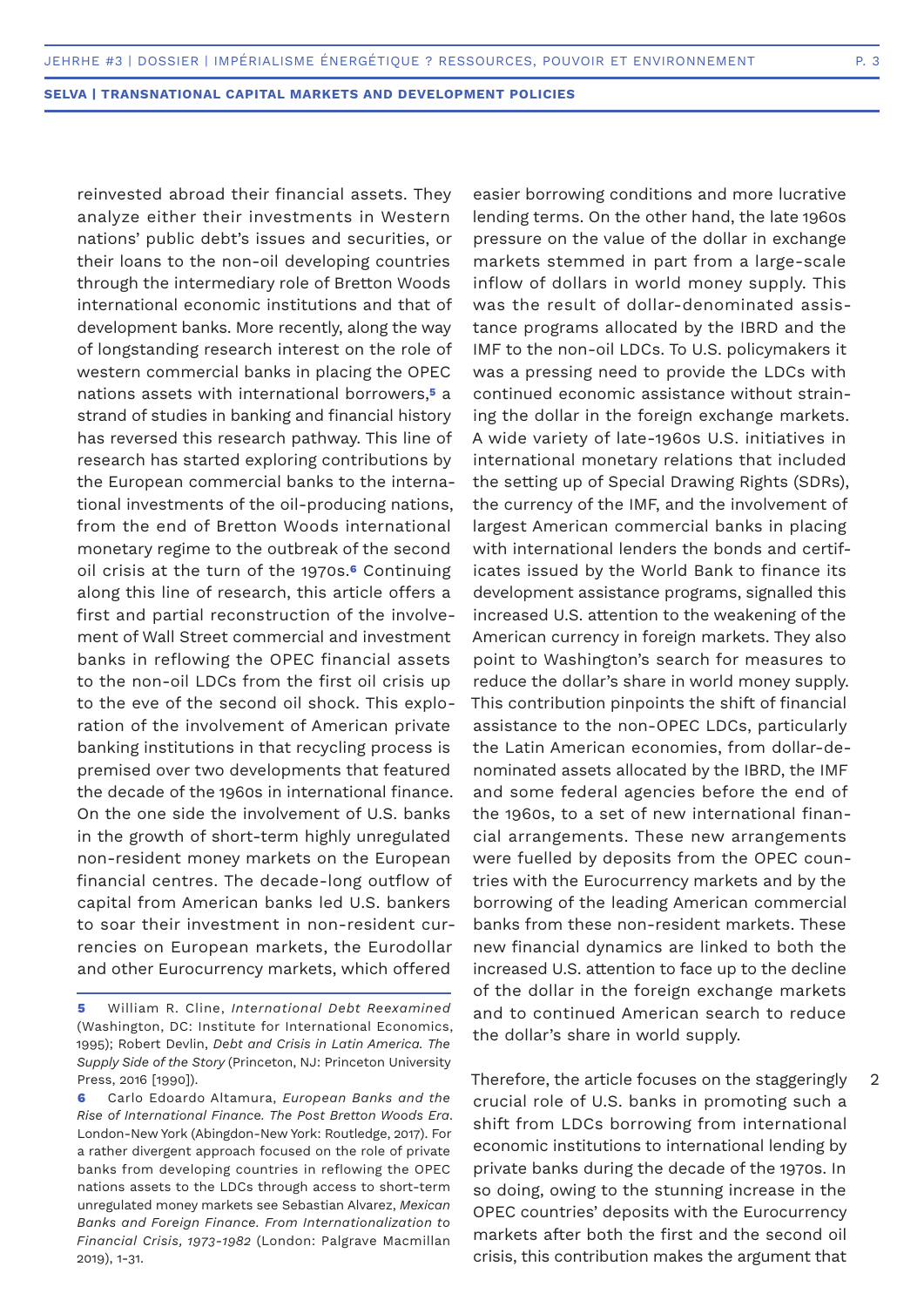reinvested abroad their financial assets. They analyze either their investments in Western nations' public debt's issues and securities, or their loans to the non-oil developing countries through the intermediary role of Bretton Woods international economic institutions and that of development banks. More recently, along the way of longstanding research interest on the role of western commercial banks in placing the OPEC nations assets with international borrowers,**5** a strand of studies in banking and financial history has reversed this research pathway. This line of research has started exploring contributions by the European commercial banks to the international investments of the oil-producing nations, from the end of Bretton Woods international monetary regime to the outbreak of the second oil crisis at the turn of the 1970s.**6** Continuing along this line of research, this article offers a first and partial reconstruction of the involvement of Wall Street commercial and investment banks in reflowing the OPEC financial assets to the non-oil LDCs from the first oil crisis up to the eve of the second oil shock. This exploration of the involvement of American private banking institutions in that recycling process is premised over two developments that featured the decade of the 1960s in international finance. On the one side the involvement of U.S. banks in the growth of short-term highly unregulated non-resident money markets on the European financial centres. The decade-long outflow of capital from American banks led U.S. bankers to soar their investment in non-resident currencies on European markets, the Eurodollar and other Eurocurrency markets, which offered

easier borrowing conditions and more lucrative lending terms. On the other hand, the late 1960s pressure on the value of the dollar in exchange markets stemmed in part from a large-scale inflow of dollars in world money supply. This was the result of dollar-denominated assistance programs allocated by the IBRD and the IMF to the non-oil LDCs. To U.S. policymakers it was a pressing need to provide the LDCs with continued economic assistance without straining the dollar in the foreign exchange markets. A wide variety of late-1960s U.S. initiatives in international monetary relations that included the setting up of Special Drawing Rights (SDRs), the currency of the IMF, and the involvement of largest American commercial banks in placing with international lenders the bonds and certificates issued by the World Bank to finance its development assistance programs, signalled this increased U.S. attention to the weakening of the American currency in foreign markets. They also point to Washington's search for measures to reduce the dollar's share in world money supply. This contribution pinpoints the shift of financial assistance to the non-OPEC LDCs, particularly the Latin American economies, from dollar-denominated assets allocated by the IBRD, the IMF and some federal agencies before the end of the 1960s, to a set of new international financial arrangements. These new arrangements were fuelled by deposits from the OPEC countries with the Eurocurrency markets and by the borrowing of the leading American commercial banks from these non-resident markets. These new financial dynamics are linked to both the increased U.S. attention to face up to the decline of the dollar in the foreign exchange markets and to continued American search to reduce the dollar's share in world supply.

Therefore, the article focuses on the staggeringly crucial role of U.S. banks in promoting such a shift from LDCs borrowing from international economic institutions to international lending by private banks during the decade of the 1970s. In so doing, owing to the stunning increase in the OPEC countries' deposits with the Eurocurrency markets after both the first and the second oil crisis, this contribution makes the argument that

2

**<sup>5</sup>** William R. Cline, *International Debt Reexamined* (Washington, DC: Institute for International Economics, 1995); Robert Devlin, *Debt and Crisis in Latin America. The Supply Side of the Story* (Princeton, NJ: Princeton University Press, 2016 [1990]).

**<sup>6</sup>** Carlo Edoardo Altamura, *European Banks and the Rise of International Financ*e*. The Post Bretton Woods Era*. London-New York (Abingdon-New York: Routledge, 2017). For a rather divergent approach focused on the role of private banks from developing countries in reflowing the OPEC nations assets to the LDCs through access to short-term unregulated money markets see Sebastian Alvarez, *Mexican Banks and Foreign Finance. From Internationalization to Financial Crisis, 1973-1982* (London: Palgrave Macmillan 2019), 1-31.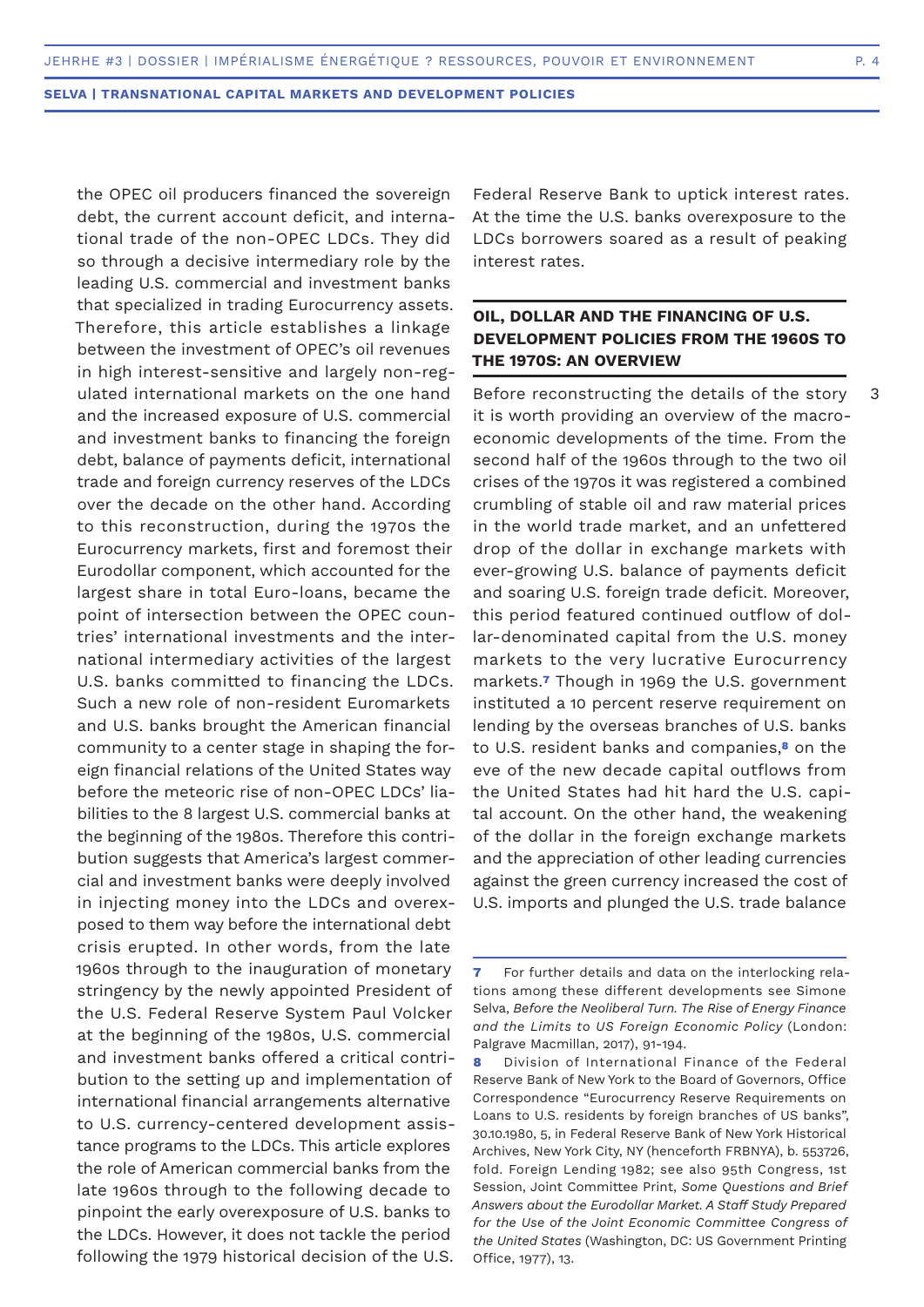3

**SELVA | TRANSNATIONAL CAPITAL MARKETS AND DEVELOPMENT POLICIES**

the OPEC oil producers financed the sovereign debt, the current account deficit, and international trade of the non-OPEC LDCs. They did so through a decisive intermediary role by the leading U.S. commercial and investment banks that specialized in trading Eurocurrency assets. Therefore, this article establishes a linkage between the investment of OPEC's oil revenues in high interest-sensitive and largely non-regulated international markets on the one hand and the increased exposure of U.S. commercial and investment banks to financing the foreign debt, balance of payments deficit, international trade and foreign currency reserves of the LDCs over the decade on the other hand. According to this reconstruction, during the 1970s the Eurocurrency markets, first and foremost their Eurodollar component, which accounted for the largest share in total Euro-loans, became the point of intersection between the OPEC countries' international investments and the international intermediary activities of the largest U.S. banks committed to financing the LDCs. Such a new role of non-resident Euromarkets and U.S. banks brought the American financial community to a center stage in shaping the foreign financial relations of the United States way before the meteoric rise of non-OPEC LDCs' liabilities to the 8 largest U.S. commercial banks at the beginning of the 1980s. Therefore this contribution suggests that America's largest commercial and investment banks were deeply involved in injecting money into the LDCs and overexposed to them way before the international debt crisis erupted. In other words, from the late 1960s through to the inauguration of monetary stringency by the newly appointed President of the U.S. Federal Reserve System Paul Volcker at the beginning of the 1980s, U.S. commercial and investment banks offered a critical contribution to the setting up and implementation of international financial arrangements alternative to U.S. currency-centered development assistance programs to the LDCs. This article explores the role of American commercial banks from the late 1960s through to the following decade to pinpoint the early overexposure of U.S. banks to the LDCs. However, it does not tackle the period following the 1979 historical decision of the U.S.

Federal Reserve Bank to uptick interest rates. At the time the U.S. banks overexposure to the LDCs borrowers soared as a result of peaking interest rates.

## **OIL, DOLLAR AND THE FINANCING OF U.S. DEVELOPMENT POLICIES FROM THE 1960S TO THE 1970S: AN OVERVIEW**

Before reconstructing the details of the story it is worth providing an overview of the macroeconomic developments of the time. From the second half of the 1960s through to the two oil crises of the 1970s it was registered a combined crumbling of stable oil and raw material prices in the world trade market, and an unfettered drop of the dollar in exchange markets with ever-growing U.S. balance of payments deficit and soaring U.S. foreign trade deficit. Moreover, this period featured continued outflow of dollar-denominated capital from the U.S. money markets to the very lucrative Eurocurrency markets.**7** Though in 1969 the U.S. government instituted a 10 percent reserve requirement on lending by the overseas branches of U.S. banks to U.S. resident banks and companies,**8** on the eve of the new decade capital outflows from the United States had hit hard the U.S. capital account. On the other hand, the weakening of the dollar in the foreign exchange markets and the appreciation of other leading currencies against the green currency increased the cost of U.S. imports and plunged the U.S. trade balance

**<sup>7</sup>** For further details and data on the interlocking relations among these different developments see Simone Selva, *Before the Neoliberal Turn. The Rise of Energy Finance and the Limits to US Foreign Economic Policy* (London: Palgrave Macmillan, 2017), 91-194.

**<sup>8</sup>** Division of International Finance of the Federal Reserve Bank of New York to the Board of Governors, Office Correspondence "Eurocurrency Reserve Requirements on Loans to U.S. residents by foreign branches of US banks", 30.10.1980, 5, in Federal Reserve Bank of New York Historical Archives, New York City, NY (henceforth FRBNYA), b. 553726, fold. Foreign Lending 1982; see also 95th Congress, 1st Session, Joint Committee Print, *Some Questions and Brief Answers about the Eurodollar Market. A Staff Study Prepared for the Use of the Joint Economic Committee Congress of the United States* (Washington, DC: US Government Printing Office, 1977), 13.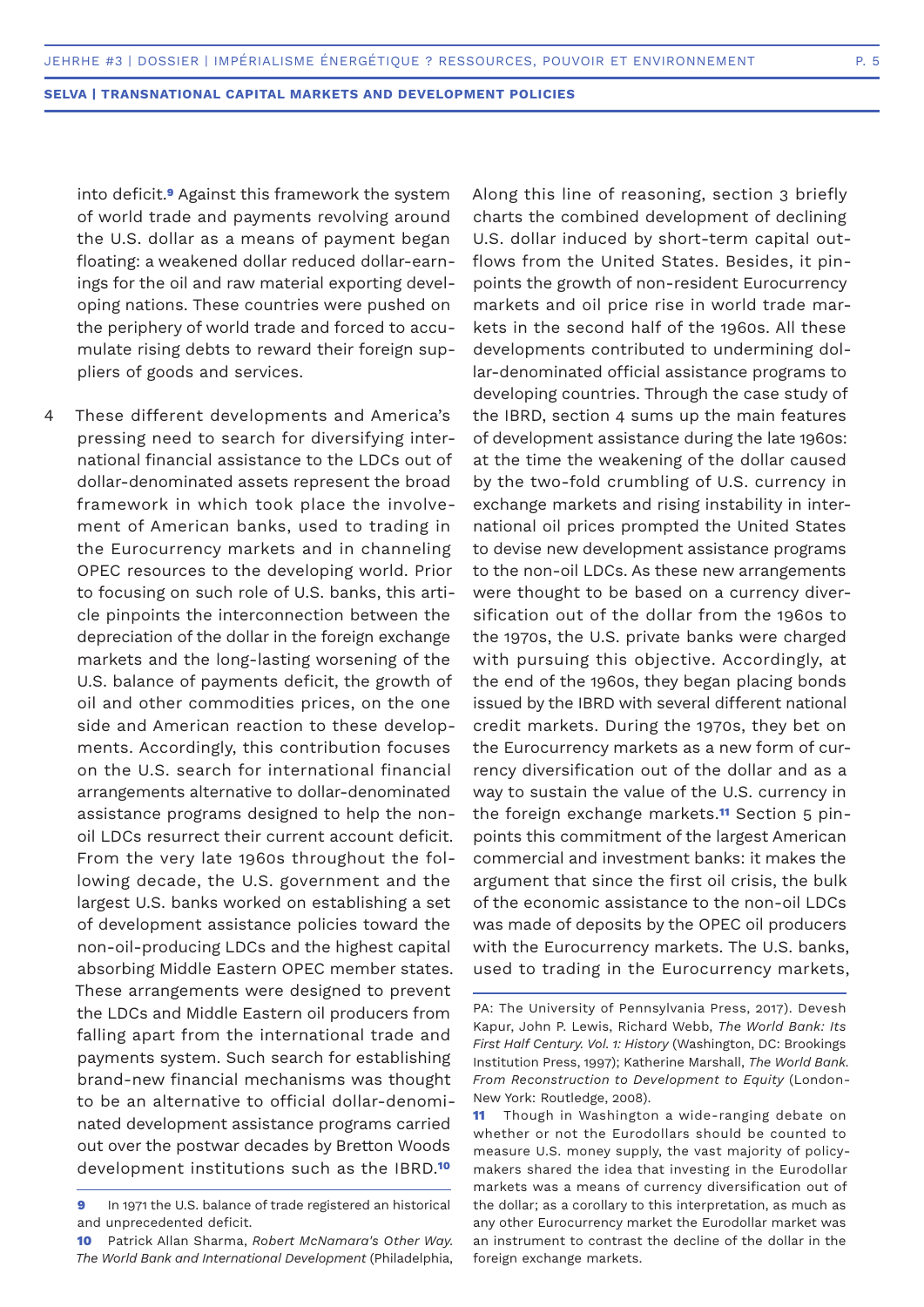into deficit.**9** Against this framework the system of world trade and payments revolving around the U.S. dollar as a means of payment began floating: a weakened dollar reduced dollar-earnings for the oil and raw material exporting developing nations. These countries were pushed on the periphery of world trade and forced to accumulate rising debts to reward their foreign suppliers of goods and services.

- These different developments and America's pressing need to search for diversifying international financial assistance to the LDCs out of dollar-denominated assets represent the broad framework in which took place the involvement of American banks, used to trading in the Eurocurrency markets and in channeling OPEC resources to the developing world. Prior to focusing on such role of U.S. banks, this article pinpoints the interconnection between the depreciation of the dollar in the foreign exchange markets and the long-lasting worsening of the U.S. balance of payments deficit, the growth of oil and other commodities prices, on the one side and American reaction to these developments. Accordingly, this contribution focuses on the U.S. search for international financial arrangements alternative to dollar-denominated assistance programs designed to help the nonoil LDCs resurrect their current account deficit. From the very late 1960s throughout the following decade, the U.S. government and the largest U.S. banks worked on establishing a set of development assistance policies toward the non-oil-producing LDCs and the highest capital absorbing Middle Eastern OPEC member states. These arrangements were designed to prevent the LDCs and Middle Eastern oil producers from falling apart from the international trade and payments system. Such search for establishing brand-new financial mechanisms was thought to be an alternative to official dollar-denominated development assistance programs carried out over the postwar decades by Bretton Woods development institutions such as the IBRD.**<sup>10</sup>** 4
	- **9** In 1971 the U.S. balance of trade registered an historical and unprecedented deficit.
	- **10** Patrick Allan Sharma, *Robert McNamara's Other Way. The World Bank and International Development* (Philadelphia,

Along this line of reasoning, section 3 briefly charts the combined development of declining U.S. dollar induced by short-term capital outflows from the United States. Besides, it pinpoints the growth of non-resident Eurocurrency markets and oil price rise in world trade markets in the second half of the 1960s. All these developments contributed to undermining dollar-denominated official assistance programs to developing countries. Through the case study of the IBRD, section 4 sums up the main features of development assistance during the late 1960s: at the time the weakening of the dollar caused by the two-fold crumbling of U.S. currency in exchange markets and rising instability in international oil prices prompted the United States to devise new development assistance programs to the non-oil LDCs. As these new arrangements were thought to be based on a currency diversification out of the dollar from the 1960s to the 1970s, the U.S. private banks were charged with pursuing this objective. Accordingly, at the end of the 1960s, they began placing bonds issued by the IBRD with several different national credit markets. During the 1970s, they bet on the Eurocurrency markets as a new form of currency diversification out of the dollar and as a way to sustain the value of the U.S. currency in the foreign exchange markets.**11** Section 5 pinpoints this commitment of the largest American commercial and investment banks: it makes the argument that since the first oil crisis, the bulk of the economic assistance to the non-oil LDCs was made of deposits by the OPEC oil producers with the Eurocurrency markets. The U.S. banks, used to trading in the Eurocurrency markets,

PA: The University of Pennsylvania Press, 2017). Devesh Kapur, John P. Lewis, Richard Webb, *The World Bank: Its First Half Century. Vol. 1: History* (Washington, DC: Brookings Institution Press, 1997); Katherine Marshall, *The World Bank. From Reconstruction to Development to Equity* (London-New York: Routledge, 2008).

**<sup>11</sup>** Though in Washington a wide-ranging debate on whether or not the Eurodollars should be counted to measure U.S. money supply, the vast majority of policymakers shared the idea that investing in the Eurodollar markets was a means of currency diversification out of the dollar; as a corollary to this interpretation, as much as any other Eurocurrency market the Eurodollar market was an instrument to contrast the decline of the dollar in the foreign exchange markets.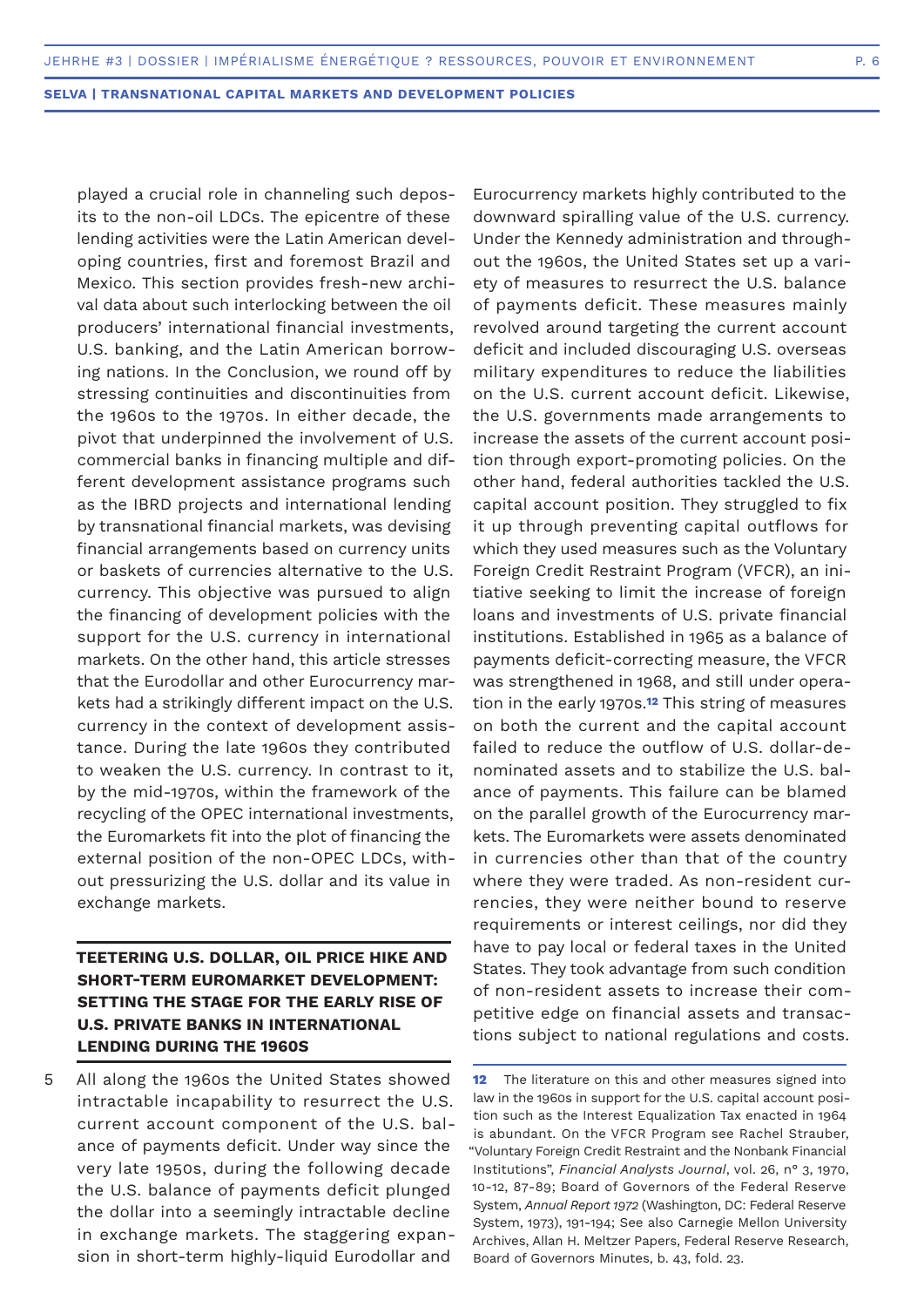played a crucial role in channeling such deposits to the non-oil LDCs. The epicentre of these lending activities were the Latin American developing countries, first and foremost Brazil and Mexico. This section provides fresh-new archival data about such interlocking between the oil producers' international financial investments, U.S. banking, and the Latin American borrowing nations. In the Conclusion, we round off by stressing continuities and discontinuities from the 1960s to the 1970s. In either decade, the pivot that underpinned the involvement of U.S. commercial banks in financing multiple and different development assistance programs such as the IBRD projects and international lending by transnational financial markets, was devising financial arrangements based on currency units or baskets of currencies alternative to the U.S. currency. This objective was pursued to align the financing of development policies with the support for the U.S. currency in international markets. On the other hand, this article stresses that the Eurodollar and other Eurocurrency markets had a strikingly different impact on the U.S. currency in the context of development assistance. During the late 1960s they contributed to weaken the U.S. currency. In contrast to it, by the mid-1970s, within the framework of the recycling of the OPEC international investments, the Euromarkets fit into the plot of financing the external position of the non-OPEC LDCs, without pressurizing the U.S. dollar and its value in exchange markets.

## **TEETERING U.S. DOLLAR, OIL PRICE HIKE AND SHORT-TERM EUROMARKET DEVELOPMENT: SETTING THE STAGE FOR THE EARLY RISE OF U.S. PRIVATE BANKS IN INTERNATIONAL LENDING DURING THE 1960S**

All along the 1960s the United States showed intractable incapability to resurrect the U.S. current account component of the U.S. balance of payments deficit. Under way since the very late 1950s, during the following decade the U.S. balance of payments deficit plunged the dollar into a seemingly intractable decline in exchange markets. The staggering expansion in short-term highly-liquid Eurodollar and 5

Eurocurrency markets highly contributed to the downward spiralling value of the U.S. currency. Under the Kennedy administration and throughout the 1960s, the United States set up a variety of measures to resurrect the U.S. balance of payments deficit. These measures mainly revolved around targeting the current account deficit and included discouraging U.S. overseas military expenditures to reduce the liabilities on the U.S. current account deficit. Likewise, the U.S. governments made arrangements to increase the assets of the current account position through export-promoting policies. On the other hand, federal authorities tackled the U.S. capital account position. They struggled to fix it up through preventing capital outflows for which they used measures such as the Voluntary Foreign Credit Restraint Program (VFCR), an initiative seeking to limit the increase of foreign loans and investments of U.S. private financial institutions. Established in 1965 as a balance of payments deficit-correcting measure, the VFCR was strengthened in 1968, and still under operation in the early 1970s.**12** This string of measures on both the current and the capital account failed to reduce the outflow of U.S. dollar-denominated assets and to stabilize the U.S. balance of payments. This failure can be blamed on the parallel growth of the Eurocurrency markets. The Euromarkets were assets denominated in currencies other than that of the country where they were traded. As non-resident currencies, they were neither bound to reserve requirements or interest ceilings, nor did they have to pay local or federal taxes in the United States. They took advantage from such condition of non-resident assets to increase their competitive edge on financial assets and transactions subject to national regulations and costs.

**<sup>12</sup>** The literature on this and other measures signed into law in the 1960s in support for the U.S. capital account position such as the Interest Equalization Tax enacted in 1964 is abundant. On the VFCR Program see Rachel Strauber, "Voluntary Foreign Credit Restraint and the Nonbank Financial Institutions", *Financial Analysts Journal*, vol. 26, n° 3, 1970, 10-12, 87-89; Board of Governors of the Federal Reserve System, *Annual Report 1972* (Washington, DC: Federal Reserve System, 1973), 191-194; See also Carnegie Mellon University Archives, Allan H. Meltzer Papers, Federal Reserve Research, Board of Governors Minutes, b. 43, fold. 23.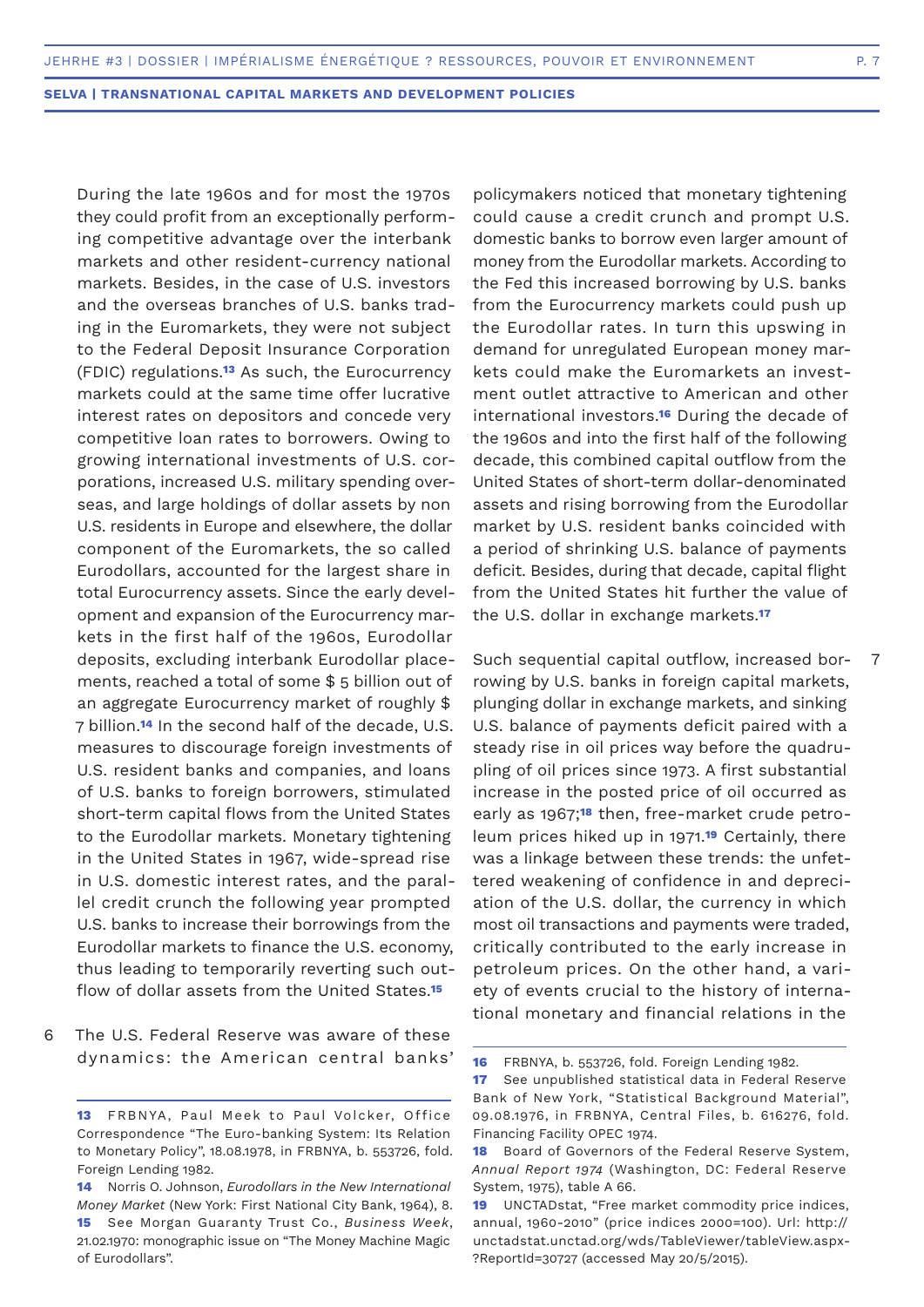7

**SELVA | TRANSNATIONAL CAPITAL MARKETS AND DEVELOPMENT POLICIES**

During the late 1960s and for most the 1970s they could profit from an exceptionally performing competitive advantage over the interbank markets and other resident-currency national markets. Besides, in the case of U.S. investors and the overseas branches of U.S. banks trading in the Euromarkets, they were not subject to the Federal Deposit Insurance Corporation (FDIC) regulations.**13** As such, the Eurocurrency markets could at the same time offer lucrative interest rates on depositors and concede very competitive loan rates to borrowers. Owing to growing international investments of U.S. corporations, increased U.S. military spending overseas, and large holdings of dollar assets by non U.S. residents in Europe and elsewhere, the dollar component of the Euromarkets, the so called Eurodollars, accounted for the largest share in total Eurocurrency assets. Since the early development and expansion of the Eurocurrency markets in the first half of the 1960s, Eurodollar deposits, excluding interbank Eurodollar placements, reached a total of some \$ 5 billion out of an aggregate Eurocurrency market of roughly \$ 7 billion.**14** In the second half of the decade, U.S. measures to discourage foreign investments of U.S. resident banks and companies, and loans of U.S. banks to foreign borrowers, stimulated short-term capital flows from the United States to the Eurodollar markets. Monetary tightening in the United States in 1967, wide-spread rise in U.S. domestic interest rates, and the parallel credit crunch the following year prompted U.S. banks to increase their borrowings from the Eurodollar markets to finance the U.S. economy, thus leading to temporarily reverting such outflow of dollar assets from the United States.**<sup>15</sup>**

The U.S. Federal Reserve was aware of these dynamics: the American central banks' 6

policymakers noticed that monetary tightening could cause a credit crunch and prompt U.S. domestic banks to borrow even larger amount of money from the Eurodollar markets. According to the Fed this increased borrowing by U.S. banks from the Eurocurrency markets could push up the Eurodollar rates. In turn this upswing in demand for unregulated European money markets could make the Euromarkets an investment outlet attractive to American and other international investors.**16** During the decade of the 1960s and into the first half of the following decade, this combined capital outflow from the United States of short-term dollar-denominated assets and rising borrowing from the Eurodollar market by U.S. resident banks coincided with a period of shrinking U.S. balance of payments deficit. Besides, during that decade, capital flight from the United States hit further the value of the U.S. dollar in exchange markets.**<sup>17</sup>**

Such sequential capital outflow, increased borrowing by U.S. banks in foreign capital markets, plunging dollar in exchange markets, and sinking U.S. balance of payments deficit paired with a steady rise in oil prices way before the quadrupling of oil prices since 1973. A first substantial increase in the posted price of oil occurred as early as 1967;**18** then, free-market crude petroleum prices hiked up in 1971.**19** Certainly, there was a linkage between these trends: the unfettered weakening of confidence in and depreciation of the U.S. dollar, the currency in which most oil transactions and payments were traded, critically contributed to the early increase in petroleum prices. On the other hand, a variety of events crucial to the history of international monetary and financial relations in the

**<sup>13</sup>** FRBNYA, Paul Meek to Paul Volcker, Office Correspondence "The Euro-banking System: Its Relation to Monetary Policy", 18.08.1978, in FRBNYA, b. 553726, fold. Foreign Lending 1982.

**<sup>14</sup>** Norris O. Johnson, *Eurodollars in the New International Money Market* (New York: First National City Bank, 1964), 8. **15** See Morgan Guaranty Trust Co., *Business Week*, 21.02.1970: monographic issue on "The Money Machine Magic of Eurodollars".

**<sup>16</sup>** FRBNYA, b. 553726, fold. Foreign Lending 1982.

**<sup>17</sup>** See unpublished statistical data in Federal Reserve Bank of New York, "Statistical Background Material", 09.08.1976, in FRBNYA, Central Files, b. 616276, fold. Financing Facility OPEC 1974.

**<sup>18</sup>** Board of Governors of the Federal Reserve System, *Annual Report 1974* (Washington, DC: Federal Reserve System, 1975), table A 66.

**<sup>19</sup>** UNCTADstat, "Free market commodity price indices, annual, 1960-2010" (price indices 2000=100). Url: http:// unctadstat.unctad.org/wds/TableViewer/tableView.aspx- ?ReportId=30727 (accessed May 20/5/2015).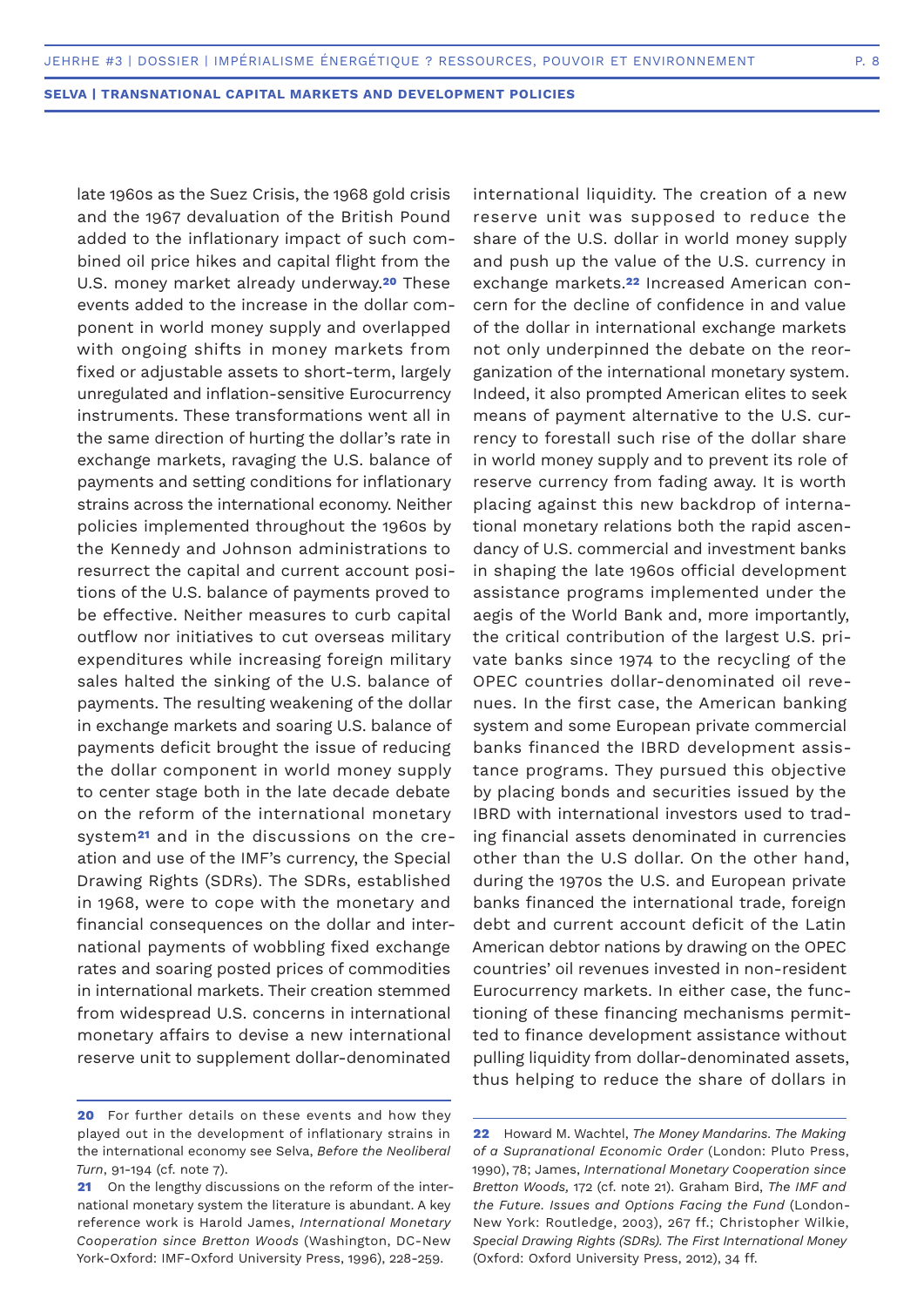late 1960s as the Suez Crisis, the 1968 gold crisis and the 1967 devaluation of the British Pound added to the inflationary impact of such combined oil price hikes and capital flight from the U.S. money market already underway.**20** These events added to the increase in the dollar component in world money supply and overlapped with ongoing shifts in money markets from fixed or adjustable assets to short-term, largely unregulated and inflation-sensitive Eurocurrency instruments. These transformations went all in the same direction of hurting the dollar's rate in exchange markets, ravaging the U.S. balance of payments and setting conditions for inflationary strains across the international economy. Neither policies implemented throughout the 1960s by the Kennedy and Johnson administrations to resurrect the capital and current account positions of the U.S. balance of payments proved to be effective. Neither measures to curb capital outflow nor initiatives to cut overseas military expenditures while increasing foreign military sales halted the sinking of the U.S. balance of payments. The resulting weakening of the dollar in exchange markets and soaring U.S. balance of payments deficit brought the issue of reducing the dollar component in world money supply to center stage both in the late decade debate on the reform of the international monetary system**21** and in the discussions on the creation and use of the IMF's currency, the Special Drawing Rights (SDRs). The SDRs, established in 1968, were to cope with the monetary and financial consequences on the dollar and international payments of wobbling fixed exchange rates and soaring posted prices of commodities in international markets. Their creation stemmed from widespread U.S. concerns in international monetary affairs to devise a new international reserve unit to supplement dollar-denominated

international liquidity. The creation of a new reserve unit was supposed to reduce the share of the U.S. dollar in world money supply and push up the value of the U.S. currency in exchange markets.**22** Increased American concern for the decline of confidence in and value of the dollar in international exchange markets not only underpinned the debate on the reorganization of the international monetary system. Indeed, it also prompted American elites to seek means of payment alternative to the U.S. currency to forestall such rise of the dollar share in world money supply and to prevent its role of reserve currency from fading away. It is worth placing against this new backdrop of international monetary relations both the rapid ascendancy of U.S. commercial and investment banks in shaping the late 1960s official development assistance programs implemented under the aegis of the World Bank and, more importantly, the critical contribution of the largest U.S. private banks since 1974 to the recycling of the OPEC countries dollar-denominated oil revenues. In the first case, the American banking system and some European private commercial banks financed the IBRD development assistance programs. They pursued this objective by placing bonds and securities issued by the IBRD with international investors used to trading financial assets denominated in currencies other than the U.S dollar. On the other hand, during the 1970s the U.S. and European private banks financed the international trade, foreign debt and current account deficit of the Latin American debtor nations by drawing on the OPEC countries' oil revenues invested in non-resident Eurocurrency markets. In either case, the functioning of these financing mechanisms permitted to finance development assistance without pulling liquidity from dollar-denominated assets, thus helping to reduce the share of dollars in

**<sup>20</sup>** For further details on these events and how they played out in the development of inflationary strains in the international economy see Selva, *Before the Neoliberal Turn*, 91-194 (cf. note 7).

**<sup>21</sup>** On the lengthy discussions on the reform of the international monetary system the literature is abundant. A key reference work is Harold James, *International Monetary Cooperation since Bretton Woods* (Washington, DC-New York-Oxford: IMF-Oxford University Press, 1996), 228-259.

**<sup>22</sup>** Howard M. Wachtel, *The Money Mandarins. The Making of a Supranational Economic Order* (London: Pluto Press, 1990), 78; James, *International Monetary Cooperation since Bretton Woods,* 172 (cf. note 21). Graham Bird, *The IMF and the Future. Issues and Options Facing the Fund* (London-New York: Routledge, 2003), 267 ff.; Christopher Wilkie, *Special Drawing Rights (SDRs). The First International Money* (Oxford: Oxford University Press, 2012), 34 ff.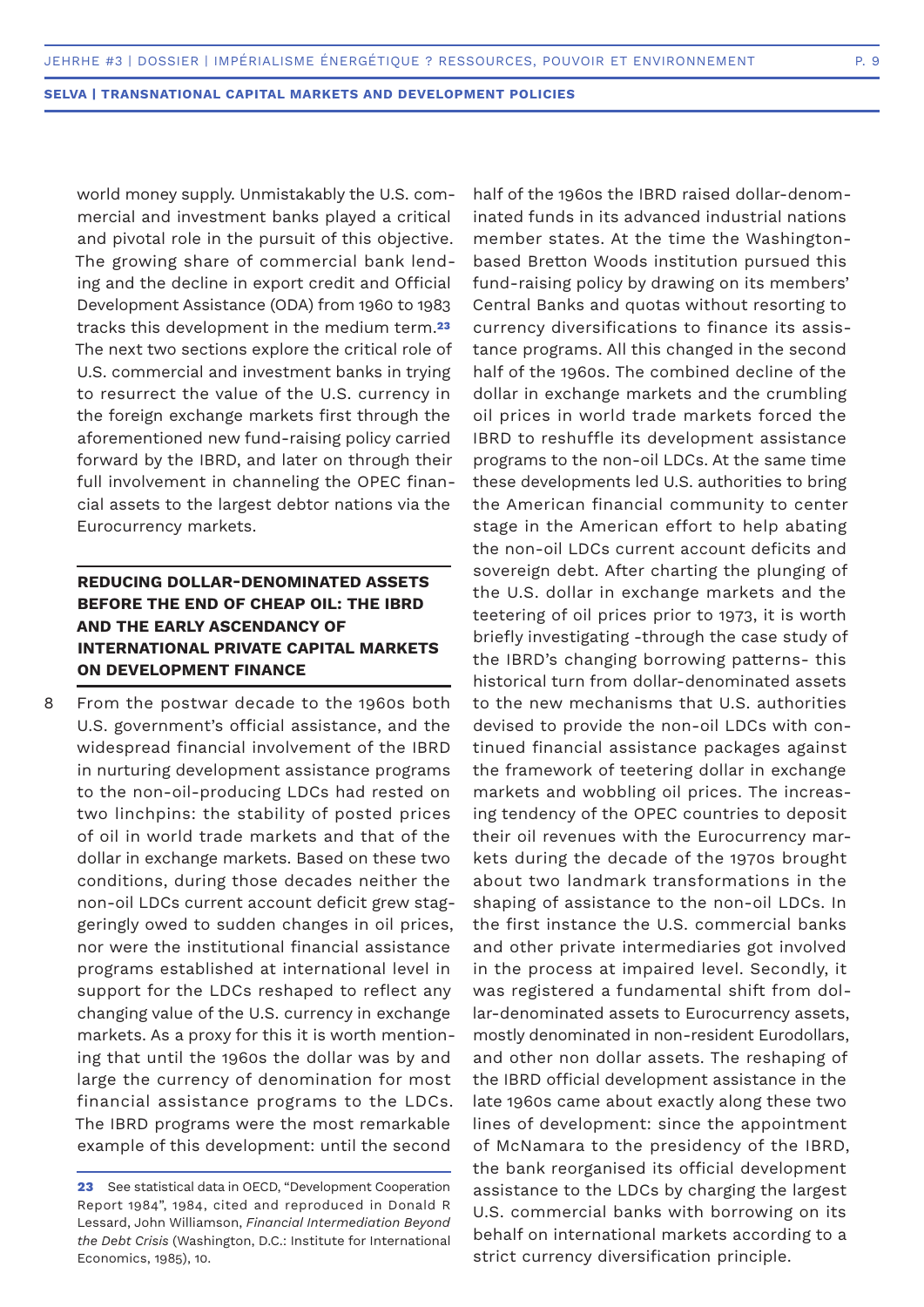world money supply. Unmistakably the U.S. commercial and investment banks played a critical and pivotal role in the pursuit of this objective. The growing share of commercial bank lending and the decline in export credit and Official Development Assistance (ODA) from 1960 to 1983 tracks this development in the medium term.**<sup>23</sup>** The next two sections explore the critical role of U.S. commercial and investment banks in trying to resurrect the value of the U.S. currency in the foreign exchange markets first through the aforementioned new fund-raising policy carried forward by the IBRD, and later on through their full involvement in channeling the OPEC financial assets to the largest debtor nations via the Eurocurrency markets.

## **REDUCING DOLLAR-DENOMINATED ASSETS BEFORE THE END OF CHEAP OIL: THE IBRD AND THE EARLY ASCENDANCY OF INTERNATIONAL PRIVATE CAPITAL MARKETS ON DEVELOPMENT FINANCE**

From the postwar decade to the 1960s both U.S. government's official assistance, and the widespread financial involvement of the IBRD in nurturing development assistance programs to the non-oil-producing LDCs had rested on two linchpins: the stability of posted prices of oil in world trade markets and that of the dollar in exchange markets. Based on these two conditions, during those decades neither the non-oil LDCs current account deficit grew staggeringly owed to sudden changes in oil prices, nor were the institutional financial assistance programs established at international level in support for the LDCs reshaped to reflect any changing value of the U.S. currency in exchange markets. As a proxy for this it is worth mentioning that until the 1960s the dollar was by and large the currency of denomination for most financial assistance programs to the LDCs. The IBRD programs were the most remarkable example of this development: until the second 8

half of the 1960s the IBRD raised dollar-denominated funds in its advanced industrial nations member states. At the time the Washingtonbased Bretton Woods institution pursued this fund-raising policy by drawing on its members' Central Banks and quotas without resorting to currency diversifications to finance its assistance programs. All this changed in the second half of the 1960s. The combined decline of the dollar in exchange markets and the crumbling oil prices in world trade markets forced the IBRD to reshuffle its development assistance programs to the non-oil LDCs. At the same time these developments led U.S. authorities to bring the American financial community to center stage in the American effort to help abating the non-oil LDCs current account deficits and sovereign debt. After charting the plunging of the U.S. dollar in exchange markets and the teetering of oil prices prior to 1973, it is worth briefly investigating -through the case study of the IBRD's changing borrowing patterns- this historical turn from dollar-denominated assets to the new mechanisms that U.S. authorities devised to provide the non-oil LDCs with continued financial assistance packages against the framework of teetering dollar in exchange markets and wobbling oil prices. The increasing tendency of the OPEC countries to deposit their oil revenues with the Eurocurrency markets during the decade of the 1970s brought about two landmark transformations in the shaping of assistance to the non-oil LDCs. In the first instance the U.S. commercial banks and other private intermediaries got involved in the process at impaired level. Secondly, it was registered a fundamental shift from dollar-denominated assets to Eurocurrency assets, mostly denominated in non-resident Eurodollars, and other non dollar assets. The reshaping of the IBRD official development assistance in the late 1960s came about exactly along these two lines of development: since the appointment of McNamara to the presidency of the IBRD, the bank reorganised its official development assistance to the LDCs by charging the largest U.S. commercial banks with borrowing on its behalf on international markets according to a strict currency diversification principle.

**<sup>23</sup>** See statistical data in OECD, "Development Cooperation Report 1984", 1984, cited and reproduced in Donald R Lessard, John Williamson, *Financial Intermediation Beyond the Debt Crisis* (Washington, D.C.: Institute for International Economics, 1985), 10.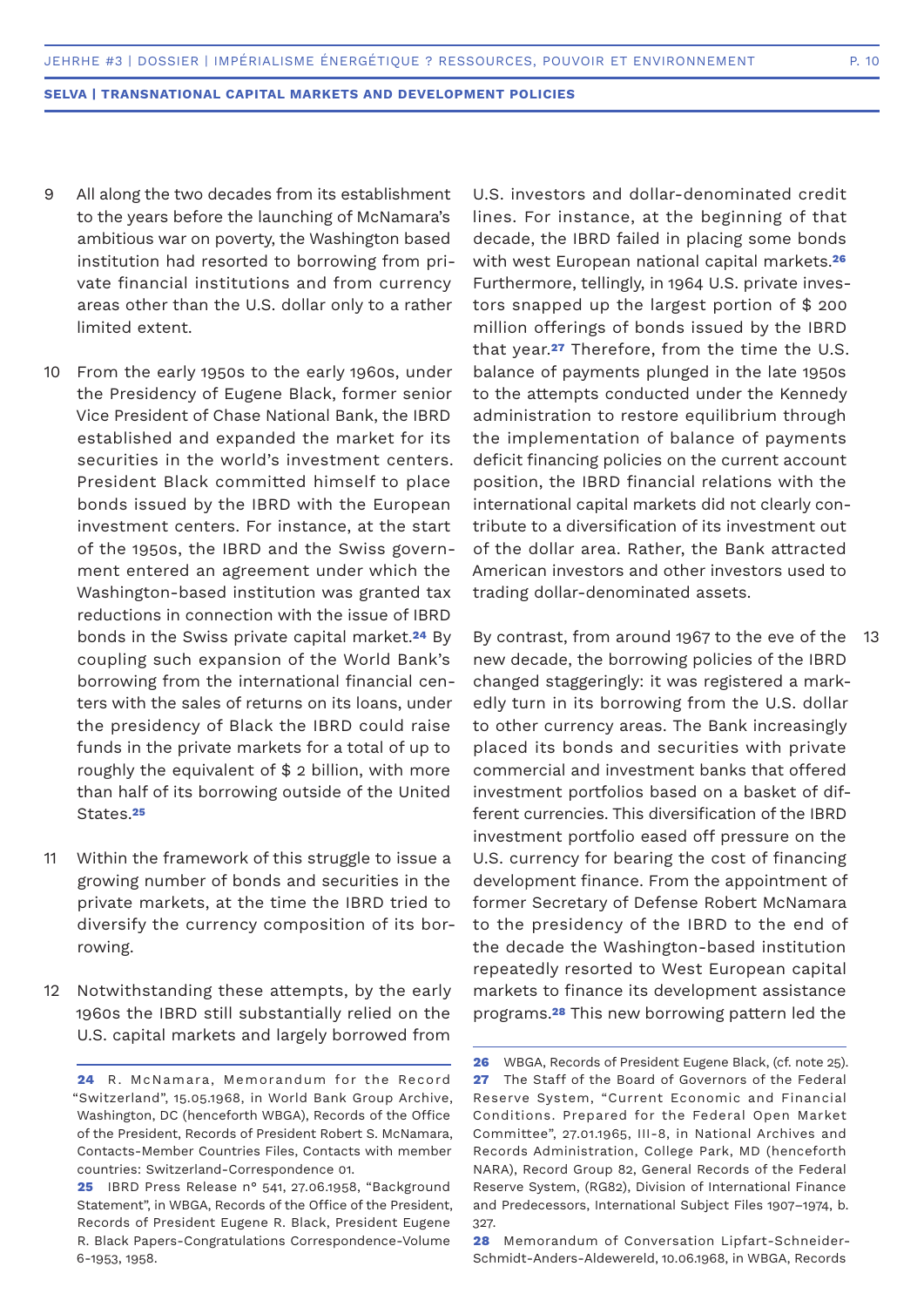- All along the two decades from its establishment to the years before the launching of McNamara's ambitious war on poverty, the Washington based institution had resorted to borrowing from private financial institutions and from currency areas other than the U.S. dollar only to a rather limited extent. 9
- 10 From the early 1950s to the early 1960s, under the Presidency of Eugene Black, former senior Vice President of Chase National Bank, the IBRD established and expanded the market for its securities in the world's investment centers. President Black committed himself to place bonds issued by the IBRD with the European investment centers. For instance, at the start of the 1950s, the IBRD and the Swiss government entered an agreement under which the Washington-based institution was granted tax reductions in connection with the issue of IBRD bonds in the Swiss private capital market.**24** By coupling such expansion of the World Bank's borrowing from the international financial centers with the sales of returns on its loans, under the presidency of Black the IBRD could raise funds in the private markets for a total of up to roughly the equivalent of \$ 2 billion, with more than half of its borrowing outside of the United States.**<sup>25</sup>**
- Within the framework of this struggle to issue a growing number of bonds and securities in the private markets, at the time the IBRD tried to diversify the currency composition of its borrowing. 11
- Notwithstanding these attempts, by the early 1960s the IBRD still substantially relied on the U.S. capital markets and largely borrowed from 12

U.S. investors and dollar-denominated credit lines. For instance, at the beginning of that decade, the IBRD failed in placing some bonds with west European national capital markets.**<sup>26</sup>** Furthermore, tellingly, in 1964 U.S. private investors snapped up the largest portion of \$ 200 million offerings of bonds issued by the IBRD that year.**27** Therefore, from the time the U.S. balance of payments plunged in the late 1950s to the attempts conducted under the Kennedy administration to restore equilibrium through the implementation of balance of payments deficit financing policies on the current account position, the IBRD financial relations with the international capital markets did not clearly contribute to a diversification of its investment out of the dollar area. Rather, the Bank attracted American investors and other investors used to trading dollar-denominated assets.

By contrast, from around 1967 to the eve of the 13new decade, the borrowing policies of the IBRD changed staggeringly: it was registered a markedly turn in its borrowing from the U.S. dollar to other currency areas. The Bank increasingly placed its bonds and securities with private commercial and investment banks that offered investment portfolios based on a basket of different currencies. This diversification of the IBRD investment portfolio eased off pressure on the U.S. currency for bearing the cost of financing development finance. From the appointment of former Secretary of Defense Robert McNamara to the presidency of the IBRD to the end of the decade the Washington-based institution repeatedly resorted to West European capital markets to finance its development assistance programs.**28** This new borrowing pattern led the

**<sup>24</sup>** R. McNamara, Memorandum for the Record "Switzerland", 15.05.1968, in World Bank Group Archive, Washington, DC (henceforth WBGA), Records of the Office of the President, Records of President Robert S. McNamara, Contacts-Member Countries Files, Contacts with member countries: Switzerland-Correspondence 01.

**<sup>25</sup>** IBRD Press Release n° 541, 27.06.1958, "Background Statement", in WBGA, Records of the Office of the President, Records of President Eugene R. Black, President Eugene R. Black Papers-Congratulations Correspondence-Volume 6-1953, 1958.

**<sup>26</sup>** WBGA, Records of President Eugene Black, (cf. note 25). **27** The Staff of the Board of Governors of the Federal Reserve System, "Current Economic and Financial Conditions. Prepared for the Federal Open Market Committee", 27.01.1965, III-8, in National Archives and Records Administration, College Park, MD (henceforth NARA), Record Group 82, General Records of the Federal Reserve System, (RG82), Division of International Finance and Predecessors, International Subject Files 1907–1974, b. 327.

**<sup>28</sup>** Memorandum of Conversation Lipfart-Schneider-Schmidt-Anders-Aldewereld, 10.06.1968, in WBGA, Records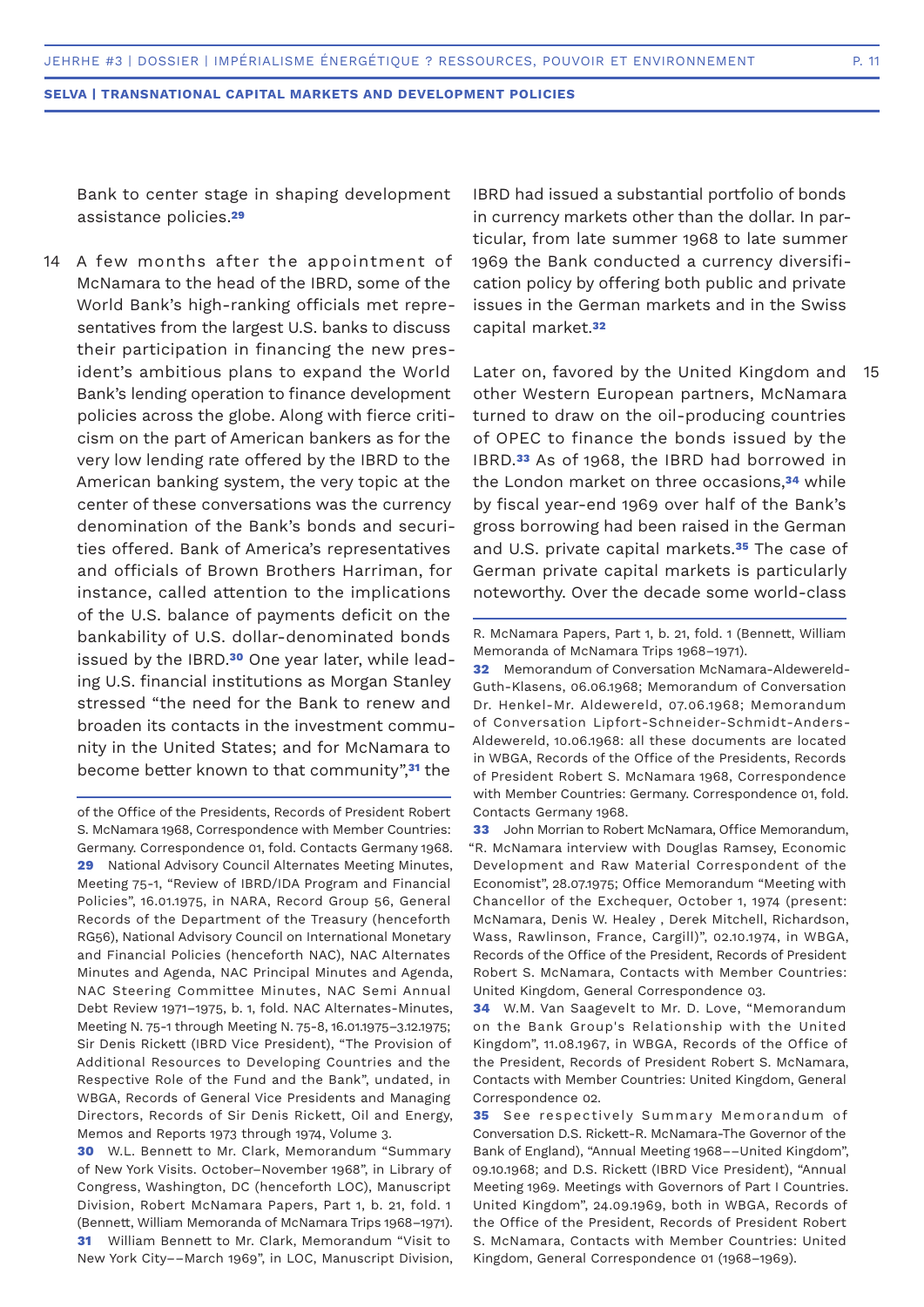Bank to center stage in shaping development assistance policies.**<sup>29</sup>**

A few months after the appointment of McNamara to the head of the IBRD, some of the World Bank's high-ranking officials met representatives from the largest U.S. banks to discuss their participation in financing the new president's ambitious plans to expand the World Bank's lending operation to finance development policies across the globe. Along with fierce criticism on the part of American bankers as for the very low lending rate offered by the IBRD to the American banking system, the very topic at the center of these conversations was the currency denomination of the Bank's bonds and securities offered. Bank of America's representatives and officials of Brown Brothers Harriman, for instance, called attention to the implications of the U.S. balance of payments deficit on the bankability of U.S. dollar-denominated bonds issued by the IBRD.**30** One year later, while leading U.S. financial institutions as Morgan Stanley stressed "the need for the Bank to renew and broaden its contacts in the investment community in the United States; and for McNamara to become better known to that community",**31** the 14

of the Office of the Presidents, Records of President Robert S. McNamara 1968, Correspondence with Member Countries: Germany. Correspondence 01, fold. Contacts Germany 1968. **29** National Advisory Council Alternates Meeting Minutes, Meeting 75-1, "Review of IBRD/IDA Program and Financial Policies", 16.01.1975, in NARA, Record Group 56, General Records of the Department of the Treasury (henceforth RG56), National Advisory Council on International Monetary and Financial Policies (henceforth NAC), NAC Alternates Minutes and Agenda, NAC Principal Minutes and Agenda, NAC Steering Committee Minutes, NAC Semi Annual Debt Review 1971–1975, b. 1, fold. NAC Alternates-Minutes, Meeting N. 75-1 through Meeting N. 75-8, 16.01.1975–3.12.1975; Sir Denis Rickett (IBRD Vice President), "The Provision of Additional Resources to Developing Countries and the Respective Role of the Fund and the Bank", undated, in WBGA, Records of General Vice Presidents and Managing Directors, Records of Sir Denis Rickett, Oil and Energy, Memos and Reports 1973 through 1974, Volume 3.

**30** W.L. Bennett to Mr. Clark, Memorandum "Summary of New York Visits. October–November 1968", in Library of Congress, Washington, DC (henceforth LOC), Manuscript Division, Robert McNamara Papers, Part 1, b. 21, fold. 1 (Bennett, William Memoranda of McNamara Trips 1968–1971). **31** William Bennett to Mr. Clark, Memorandum "Visit to New York City––March 1969", in LOC, Manuscript Division,

IBRD had issued a substantial portfolio of bonds in currency markets other than the dollar. In particular, from late summer 1968 to late summer 1969 the Bank conducted a currency diversification policy by offering both public and private issues in the German markets and in the Swiss capital market.**<sup>32</sup>**

Later on, favored by the United Kingdom and other Western European partners, McNamara turned to draw on the oil-producing countries of OPEC to finance the bonds issued by the IBRD.**33** As of 1968, the IBRD had borrowed in the London market on three occasions,**34** while by fiscal year-end 1969 over half of the Bank's gross borrowing had been raised in the German and U.S. private capital markets.**35** The case of German private capital markets is particularly noteworthy. Over the decade some world-class 15

**32** Memorandum of Conversation McNamara-Aldewereld-Guth-Klasens, 06.06.1968; Memorandum of Conversation Dr. Henkel-Mr. Aldewereld, 07.06.1968; Memorandum of Conversation Lipfort-Schneider-Schmidt-Anders-Aldewereld, 10.06.1968: all these documents are located in WBGA, Records of the Office of the Presidents, Records of President Robert S. McNamara 1968, Correspondence with Member Countries: Germany. Correspondence 01, fold. Contacts Germany 1968.

**33** John Morrian to Robert McNamara, Office Memorandum, "R. McNamara interview with Douglas Ramsey, Economic Development and Raw Material Correspondent of the Economist", 28.07.1975; Office Memorandum "Meeting with Chancellor of the Exchequer, October 1, 1974 (present: McNamara, Denis W. Healey , Derek Mitchell, Richardson, Wass, Rawlinson, France, Cargill)", 02.10.1974, in WBGA, Records of the Office of the President, Records of President Robert S. McNamara, Contacts with Member Countries: United Kingdom, General Correspondence 03.

**34** W.M. Van Saagevelt to Mr. D. Love, "Memorandum on the Bank Group's Relationship with the United Kingdom", 11.08.1967, in WBGA, Records of the Office of the President, Records of President Robert S. McNamara, Contacts with Member Countries: United Kingdom, General Correspondence 02.

**35** See respectively Summary Memorandum of Conversation D.S. Rickett-R. McNamara-The Governor of the Bank of England), "Annual Meeting 1968––United Kingdom", 09.10.1968; and D.S. Rickett (IBRD Vice President), "Annual Meeting 1969. Meetings with Governors of Part I Countries. United Kingdom", 24.09.1969, both in WBGA, Records of the Office of the President, Records of President Robert S. McNamara, Contacts with Member Countries: United Kingdom, General Correspondence 01 (1968–1969).

R. McNamara Papers, Part 1, b. 21, fold. 1 (Bennett, William Memoranda of McNamara Trips 1968–1971).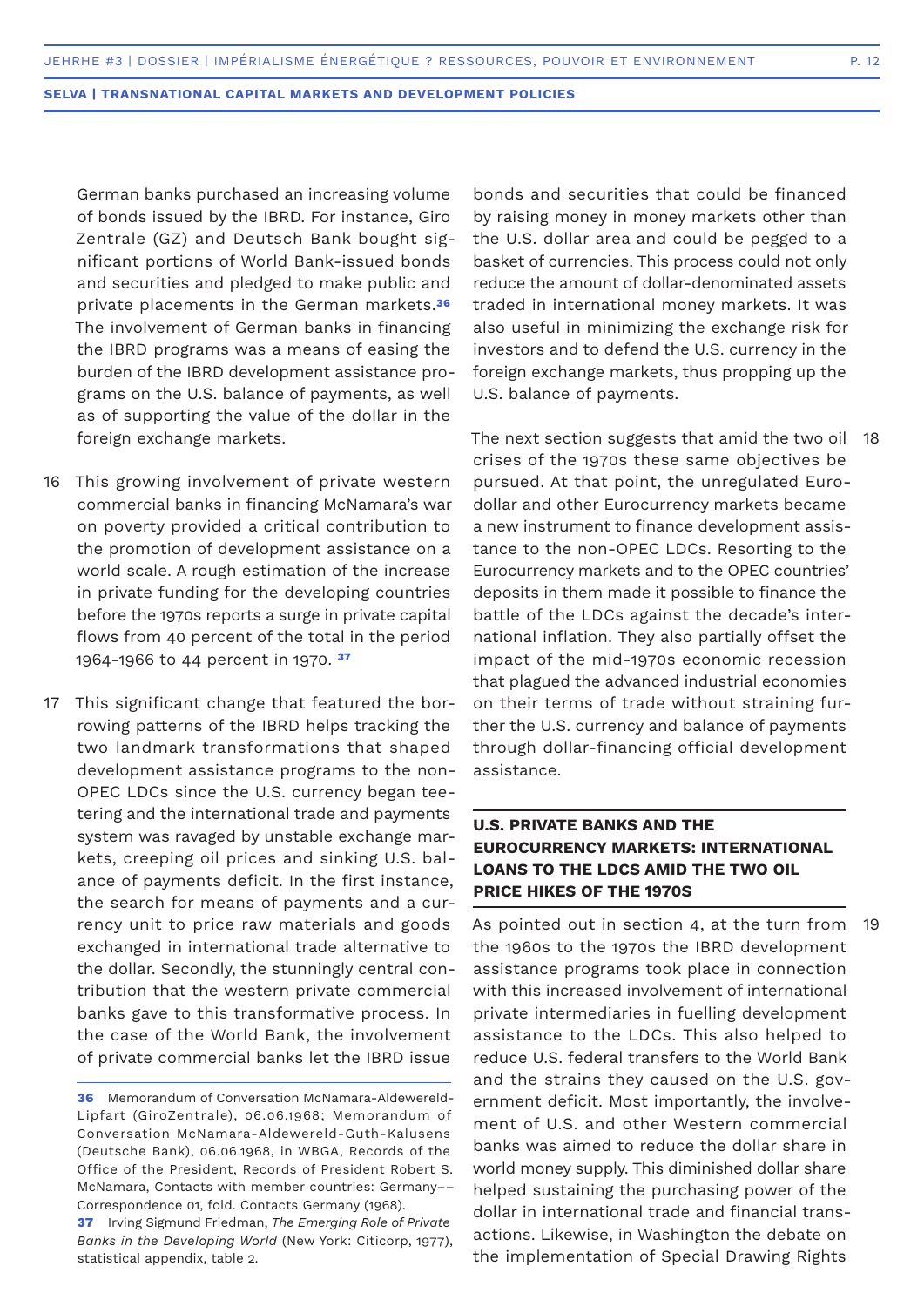German banks purchased an increasing volume of bonds issued by the IBRD. For instance, Giro Zentrale (GZ) and Deutsch Bank bought significant portions of World Bank-issued bonds and securities and pledged to make public and private placements in the German markets.**<sup>36</sup>** The involvement of German banks in financing the IBRD programs was a means of easing the burden of the IBRD development assistance programs on the U.S. balance of payments, as well as of supporting the value of the dollar in the foreign exchange markets.

- 16 This growing involvement of private western commercial banks in financing McNamara's war on poverty provided a critical contribution to the promotion of development assistance on a world scale. A rough estimation of the increase in private funding for the developing countries before the 1970s reports a surge in private capital flows from 40 percent of the total in the period 1964-1966 to 44 percent in 1970. **<sup>37</sup>**
- 17 This significant change that featured the borrowing patterns of the IBRD helps tracking the two landmark transformations that shaped development assistance programs to the non-OPEC LDCs since the U.S. currency began teetering and the international trade and payments system was ravaged by unstable exchange markets, creeping oil prices and sinking U.S. balance of payments deficit. In the first instance, the search for means of payments and a currency unit to price raw materials and goods exchanged in international trade alternative to the dollar. Secondly, the stunningly central contribution that the western private commercial banks gave to this transformative process. In the case of the World Bank, the involvement of private commercial banks let the IBRD issue

bonds and securities that could be financed by raising money in money markets other than the U.S. dollar area and could be pegged to a basket of currencies. This process could not only reduce the amount of dollar-denominated assets traded in international money markets. It was also useful in minimizing the exchange risk for investors and to defend the U.S. currency in the foreign exchange markets, thus propping up the U.S. balance of payments.

The next section suggests that amid the two oil 18 crises of the 1970s these same objectives be pursued. At that point, the unregulated Eurodollar and other Eurocurrency markets became a new instrument to finance development assistance to the non-OPEC LDCs. Resorting to the Eurocurrency markets and to the OPEC countries' deposits in them made it possible to finance the battle of the LDCs against the decade's international inflation. They also partially offset the impact of the mid-1970s economic recession that plagued the advanced industrial economies on their terms of trade without straining further the U.S. currency and balance of payments through dollar-financing official development assistance.

## **U.S. PRIVATE BANKS AND THE EUROCURRENCY MARKETS: INTERNATIONAL LOANS TO THE LDCS AMID THE TWO OIL PRICE HIKES OF THE 1970S**

As pointed out in section 4, at the turn from the 1960s to the 1970s the IBRD development assistance programs took place in connection with this increased involvement of international private intermediaries in fuelling development assistance to the LDCs. This also helped to reduce U.S. federal transfers to the World Bank and the strains they caused on the U.S. government deficit. Most importantly, the involvement of U.S. and other Western commercial banks was aimed to reduce the dollar share in world money supply. This diminished dollar share helped sustaining the purchasing power of the dollar in international trade and financial transactions. Likewise, in Washington the debate on the implementation of Special Drawing Rights 19

**<sup>36</sup>** Memorandum of Conversation McNamara-Aldewereld-Lipfart (GiroZentrale), 06.06.1968; Memorandum of Conversation McNamara-Aldewereld-Guth-Kalusens (Deutsche Bank), 06.06.1968, in WBGA, Records of the Office of the President, Records of President Robert S. McNamara, Contacts with member countries: Germany–– Correspondence 01, fold. Contacts Germany (1968).

**<sup>37</sup>** Irving Sigmund Friedman, *The Emerging Role of Private Banks in the Developing World* (New York: Citicorp, 1977), statistical appendix, table 2.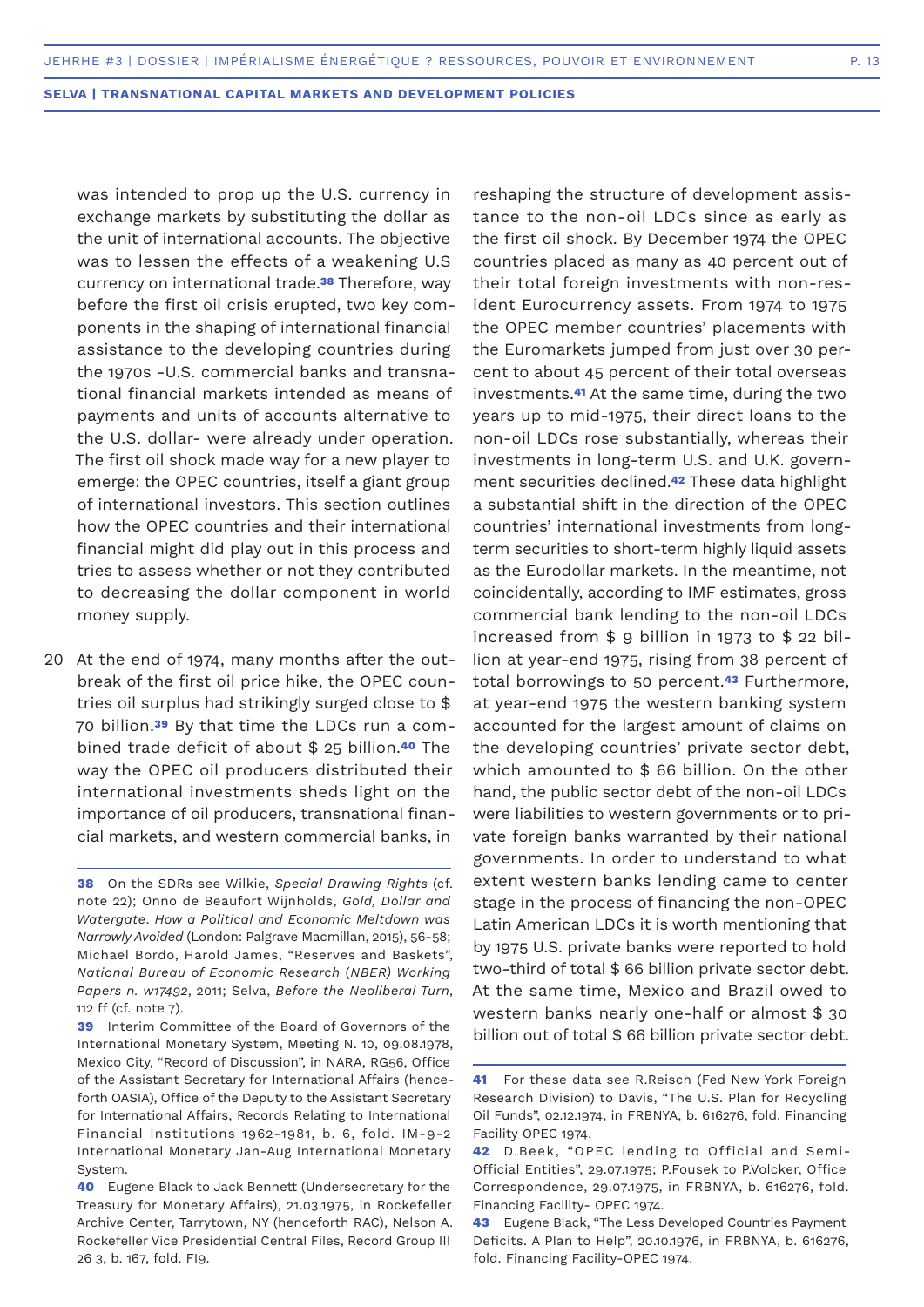was intended to prop up the U.S. currency in exchange markets by substituting the dollar as the unit of international accounts. The objective was to lessen the effects of a weakening U.S currency on international trade.**38** Therefore, way before the first oil crisis erupted, two key components in the shaping of international financial assistance to the developing countries during the 1970s -U.S. commercial banks and transnational financial markets intended as means of payments and units of accounts alternative to the U.S. dollar- were already under operation. The first oil shock made way for a new player to emerge: the OPEC countries, itself a giant group of international investors. This section outlines how the OPEC countries and their international financial might did play out in this process and tries to assess whether or not they contributed to decreasing the dollar component in world money supply.

20 At the end of 1974, many months after the outbreak of the first oil price hike, the OPEC countries oil surplus had strikingly surged close to \$ 70 billion.**39** By that time the LDCs run a combined trade deficit of about \$ 25 billion.**40** The way the OPEC oil producers distributed their international investments sheds light on the importance of oil producers, transnational financial markets, and western commercial banks, in

reshaping the structure of development assistance to the non-oil LDCs since as early as the first oil shock. By December 1974 the OPEC countries placed as many as 40 percent out of their total foreign investments with non-resident Eurocurrency assets. From 1974 to 1975 the OPEC member countries' placements with the Euromarkets jumped from just over 30 percent to about 45 percent of their total overseas investments.**41** At the same time, during the two years up to mid-1975, their direct loans to the non-oil LDCs rose substantially, whereas their investments in long-term U.S. and U.K. government securities declined.**42** These data highlight a substantial shift in the direction of the OPEC countries' international investments from longterm securities to short-term highly liquid assets as the Eurodollar markets. In the meantime, not coincidentally, according to IMF estimates, gross commercial bank lending to the non-oil LDCs increased from \$ 9 billion in 1973 to \$ 22 billion at year-end 1975, rising from 38 percent of total borrowings to 50 percent.**43** Furthermore, at year-end 1975 the western banking system accounted for the largest amount of claims on the developing countries' private sector debt, which amounted to \$66 billion. On the other hand, the public sector debt of the non-oil LDCs were liabilities to western governments or to private foreign banks warranted by their national governments. In order to understand to what extent western banks lending came to center stage in the process of financing the non-OPEC Latin American LDCs it is worth mentioning that by 1975 U.S. private banks were reported to hold two-third of total \$ 66 billion private sector debt. At the same time, Mexico and Brazil owed to western banks nearly one-half or almost \$ 30 billion out of total \$ 66 billion private sector debt.

**<sup>38</sup>** On the SDRs see Wilkie, *Special Drawing Rights* (cf. note 22); Onno de Beaufort Wijnholds, *Gold, Dollar and Watergate*. *How a Political and Economic Meltdown was Narrowly Avoided* (London: Palgrave Macmillan, 2015), 56-58; Michael Bordo, Harold James, "Reserves and Baskets", *National Bureau of Economic Research* (*NBER) Working Papers n. w17492*, 2011; Selva, *Before the Neoliberal Turn*, 112 ff (cf. note 7).

**<sup>39</sup>** Interim Committee of the Board of Governors of the International Monetary System, Meeting N. 10, 09.08.1978, Mexico City, "Record of Discussion", in NARA, RG56, Office of the Assistant Secretary for International Affairs (henceforth OASIA), Office of the Deputy to the Assistant Secretary for International Affairs, Records Relating to International Financial Institutions 1962-1981, b. 6, fold. IM-9-2 International Monetary Jan-Aug International Monetary System.

**<sup>40</sup>** Eugene Black to Jack Bennett (Undersecretary for the Treasury for Monetary Affairs), 21.03.1975, in Rockefeller Archive Center, Tarrytown, NY (henceforth RAC), Nelson A. Rockefeller Vice Presidential Central Files, Record Group III 26 3, b. 167, fold. FI9.

**<sup>41</sup>** For these data see R.Reisch (Fed New York Foreign Research Division) to Davis, "The U.S. Plan for Recycling Oil Funds", 02.12.1974, in FRBNYA, b. 616276, fold. Financing Facility OPEC 1974.

**<sup>42</sup>** D.Beek, "OPEC lending to Official and Semi-Official Entities", 29.07.1975; P.Fousek to P.Volcker, Office Correspondence, 29.07.1975, in FRBNYA, b. 616276, fold. Financing Facility- OPEC 1974.

**<sup>43</sup>** Eugene Black, "The Less Developed Countries Payment Deficits. A Plan to Help", 20.10.1976, in FRBNYA, b. 616276, fold. Financing Facility-OPEC 1974.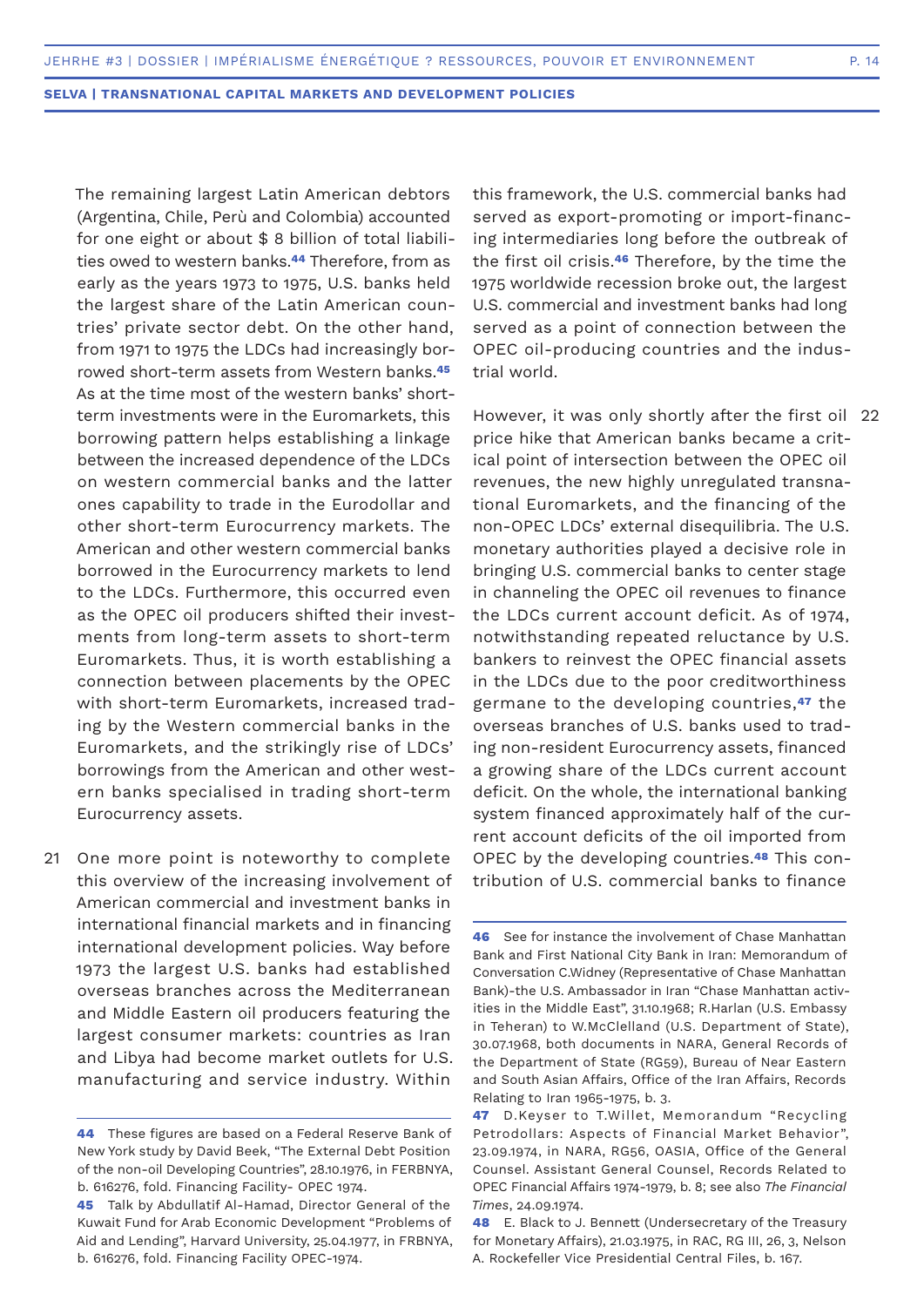The remaining largest Latin American debtors (Argentina, Chile, Perù and Colombia) accounted for one eight or about \$ 8 billion of total liabilities owed to western banks.**44** Therefore, from as early as the years 1973 to 1975, U.S. banks held the largest share of the Latin American countries' private sector debt. On the other hand, from 1971 to 1975 the LDCs had increasingly borrowed short-term assets from Western banks.**<sup>45</sup>** As at the time most of the western banks' shortterm investments were in the Euromarkets, this borrowing pattern helps establishing a linkage between the increased dependence of the LDCs on western commercial banks and the latter ones capability to trade in the Eurodollar and other short-term Eurocurrency markets. The American and other western commercial banks borrowed in the Eurocurrency markets to lend to the LDCs. Furthermore, this occurred even as the OPEC oil producers shifted their investments from long-term assets to short-term Euromarkets. Thus, it is worth establishing a connection between placements by the OPEC with short-term Euromarkets, increased trading by the Western commercial banks in the Euromarkets, and the strikingly rise of LDCs' borrowings from the American and other western banks specialised in trading short-term Eurocurrency assets.

21 One more point is noteworthy to complete this overview of the increasing involvement of American commercial and investment banks in international financial markets and in financing international development policies. Way before 1973 the largest U.S. banks had established overseas branches across the Mediterranean and Middle Eastern oil producers featuring the largest consumer markets: countries as Iran and Libya had become market outlets for U.S. manufacturing and service industry. Within

this framework, the U.S. commercial banks had served as export-promoting or import-financing intermediaries long before the outbreak of the first oil crisis.**46** Therefore, by the time the 1975 worldwide recession broke out, the largest U.S. commercial and investment banks had long served as a point of connection between the OPEC oil-producing countries and the industrial world.

However, it was only shortly after the first oil 22 price hike that American banks became a critical point of intersection between the OPEC oil revenues, the new highly unregulated transnational Euromarkets, and the financing of the non-OPEC LDCs' external disequilibria. The U.S. monetary authorities played a decisive role in bringing U.S. commercial banks to center stage in channeling the OPEC oil revenues to finance the LDCs current account deficit. As of 1974, notwithstanding repeated reluctance by U.S. bankers to reinvest the OPEC financial assets in the LDCs due to the poor creditworthiness germane to the developing countries,**47** the overseas branches of U.S. banks used to trading non-resident Eurocurrency assets, financed a growing share of the LDCs current account deficit. On the whole, the international banking system financed approximately half of the current account deficits of the oil imported from OPEC by the developing countries.**48** This contribution of U.S. commercial banks to finance

**<sup>44</sup>** These figures are based on a Federal Reserve Bank of New York study by David Beek, "The External Debt Position of the non-oil Developing Countries", 28.10.1976, in FERBNYA, b. 616276, fold. Financing Facility- OPEC 1974.

**<sup>45</sup>** Talk by Abdullatif Al-Hamad, Director General of the Kuwait Fund for Arab Economic Development "Problems of Aid and Lending", Harvard University, 25.04.1977, in FRBNYA, b. 616276, fold. Financing Facility OPEC-1974.

**<sup>46</sup>** See for instance the involvement of Chase Manhattan Bank and First National City Bank in Iran: Memorandum of Conversation C.Widney (Representative of Chase Manhattan Bank)-the U.S. Ambassador in Iran "Chase Manhattan activities in the Middle East", 31.10.1968; R.Harlan (U.S. Embassy in Teheran) to W.McClelland (U.S. Department of State), 30.07.1968, both documents in NARA, General Records of the Department of State (RG59), Bureau of Near Eastern and South Asian Affairs, Office of the Iran Affairs, Records Relating to Iran 1965-1975, b. 3.

**<sup>47</sup>** D.Keyser to T.Willet, Memorandum "Recycling Petrodollars: Aspects of Financial Market Behavior", 23.09.1974, in NARA, RG56, OASIA, Office of the General Counsel. Assistant General Counsel, Records Related to OPEC Financial Affairs 1974-1979, b. 8; see also *The Financial Times*, 24.09.1974.

**<sup>48</sup>** E. Black to J. Bennett (Undersecretary of the Treasury for Monetary Affairs), 21.03.1975, in RAC, RG III, 26, 3, Nelson A. Rockefeller Vice Presidential Central Files, b. 167.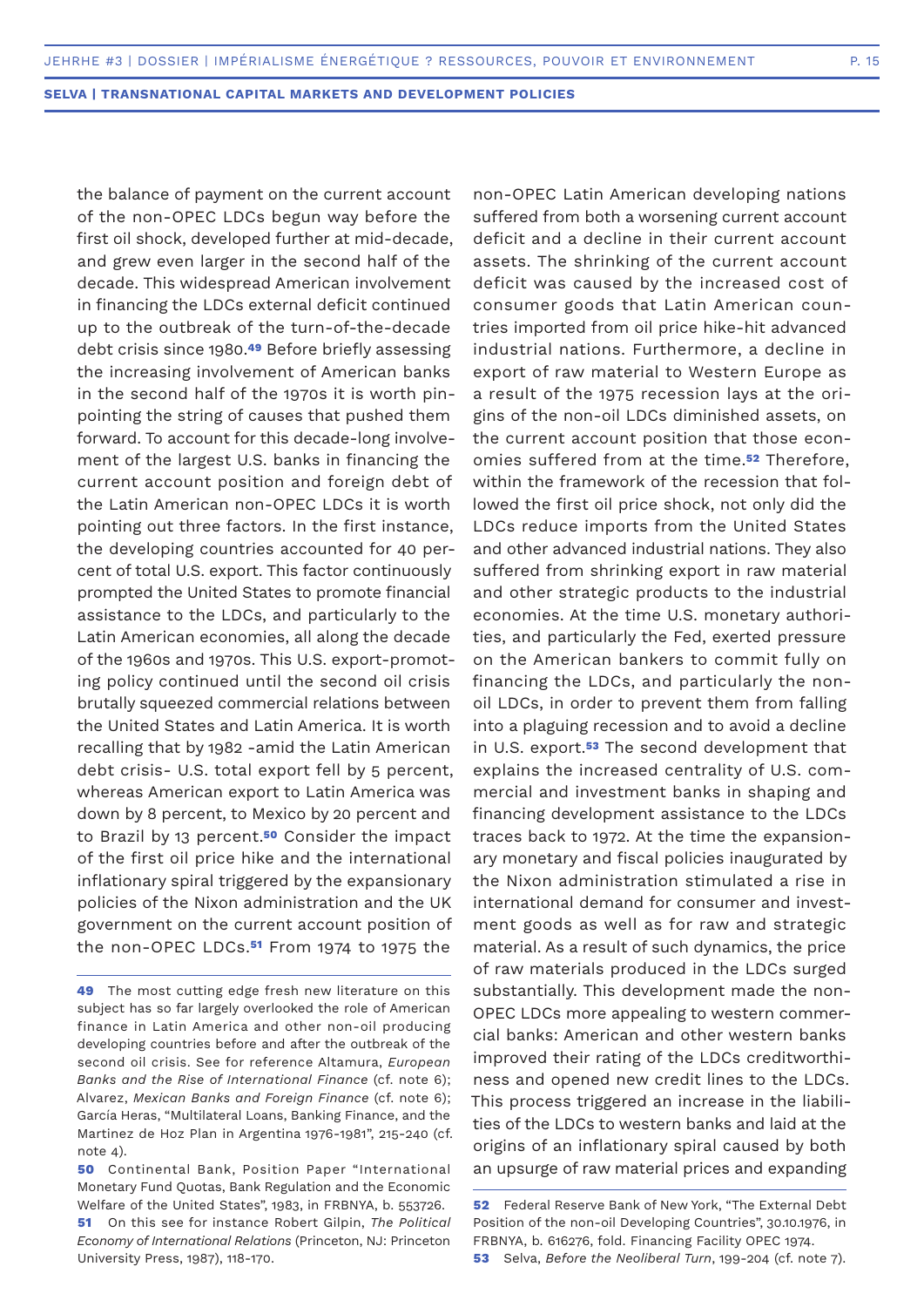the balance of payment on the current account of the non-OPEC LDCs begun way before the first oil shock, developed further at mid-decade, and grew even larger in the second half of the decade. This widespread American involvement in financing the LDCs external deficit continued up to the outbreak of the turn-of-the-decade debt crisis since 1980.**49** Before briefly assessing the increasing involvement of American banks in the second half of the 1970s it is worth pinpointing the string of causes that pushed them forward. To account for this decade-long involvement of the largest U.S. banks in financing the current account position and foreign debt of the Latin American non-OPEC LDCs it is worth pointing out three factors. In the first instance, the developing countries accounted for 40 percent of total U.S. export. This factor continuously prompted the United States to promote financial assistance to the LDCs, and particularly to the Latin American economies, all along the decade of the 1960s and 1970s. This U.S. export-promoting policy continued until the second oil crisis brutally squeezed commercial relations between the United States and Latin America. It is worth recalling that by 1982 -amid the Latin American debt crisis- U.S. total export fell by 5 percent, whereas American export to Latin America was down by 8 percent, to Mexico by 20 percent and to Brazil by 13 percent.**50** Consider the impact of the first oil price hike and the international inflationary spiral triggered by the expansionary policies of the Nixon administration and the UK government on the current account position of the non-OPEC LDCs.**51** From 1974 to 1975 the

non-OPEC Latin American developing nations suffered from both a worsening current account deficit and a decline in their current account assets. The shrinking of the current account deficit was caused by the increased cost of consumer goods that Latin American countries imported from oil price hike-hit advanced industrial nations. Furthermore, a decline in export of raw material to Western Europe as a result of the 1975 recession lays at the origins of the non-oil LDCs diminished assets, on the current account position that those economies suffered from at the time.**52** Therefore, within the framework of the recession that followed the first oil price shock, not only did the LDCs reduce imports from the United States and other advanced industrial nations. They also suffered from shrinking export in raw material and other strategic products to the industrial economies. At the time U.S. monetary authorities, and particularly the Fed, exerted pressure on the American bankers to commit fully on financing the LDCs, and particularly the nonoil LDCs, in order to prevent them from falling into a plaguing recession and to avoid a decline in U.S. export.**53** The second development that explains the increased centrality of U.S. commercial and investment banks in shaping and financing development assistance to the LDCs traces back to 1972. At the time the expansionary monetary and fiscal policies inaugurated by the Nixon administration stimulated a rise in international demand for consumer and investment goods as well as for raw and strategic material. As a result of such dynamics, the price of raw materials produced in the LDCs surged substantially. This development made the non-OPEC LDCs more appealing to western commercial banks: American and other western banks improved their rating of the LDCs creditworthiness and opened new credit lines to the LDCs. This process triggered an increase in the liabilities of the LDCs to western banks and laid at the origins of an inflationary spiral caused by both an upsurge of raw material prices and expanding

**<sup>49</sup>** The most cutting edge fresh new literature on this subject has so far largely overlooked the role of American finance in Latin America and other non-oil producing developing countries before and after the outbreak of the second oil crisis. See for reference Altamura, *European Banks and the Rise of International Finance* (cf. note 6); Alvarez, *Mexican Banks and Foreign Finance* (cf. note 6); García Heras, "Multilateral Loans, Banking Finance, and the Martinez de Hoz Plan in Argentina 1976-1981", 215-240 (cf. note 4).

**<sup>50</sup>** Continental Bank, Position Paper "International Monetary Fund Quotas, Bank Regulation and the Economic Welfare of the United States", 1983, in FRBNYA, b. 553726.

**<sup>51</sup>** On this see for instance Robert Gilpin, *The Political Economy of International Relations* (Princeton, NJ: Princeton University Press, 1987), 118-170.

**<sup>52</sup>** Federal Reserve Bank of New York, "The External Debt Position of the non-oil Developing Countries", 30.10.1976, in FRBNYA, b. 616276, fold. Financing Facility OPEC 1974.

**<sup>53</sup>** Selva, *Before the Neoliberal Turn*, 199-204 (cf. note 7).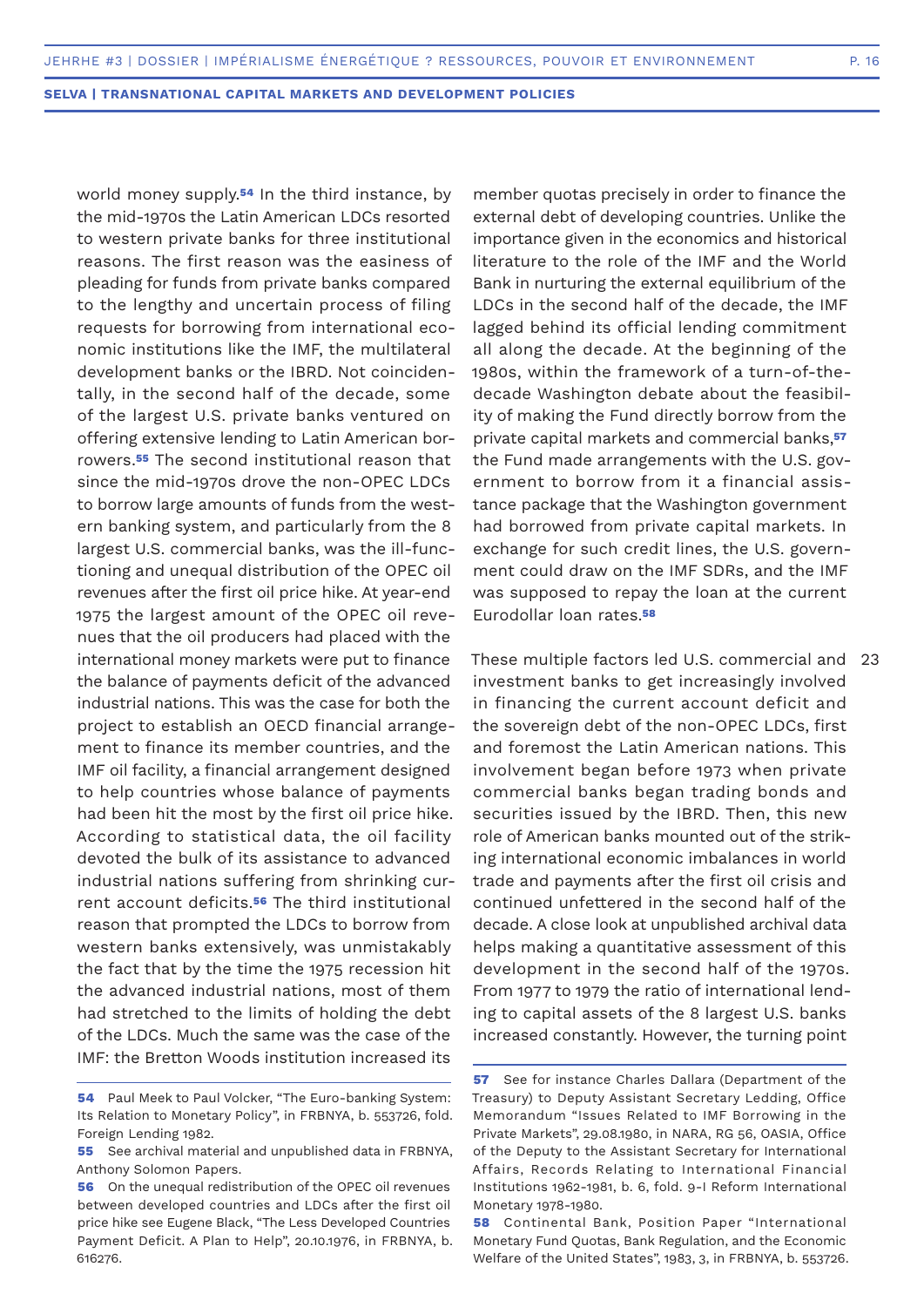world money supply.**54** In the third instance, by the mid-1970s the Latin American LDCs resorted to western private banks for three institutional reasons. The first reason was the easiness of pleading for funds from private banks compared to the lengthy and uncertain process of filing requests for borrowing from international economic institutions like the IMF, the multilateral development banks or the IBRD. Not coincidentally, in the second half of the decade, some of the largest U.S. private banks ventured on offering extensive lending to Latin American borrowers.**55** The second institutional reason that since the mid-1970s drove the non-OPEC LDCs to borrow large amounts of funds from the western banking system, and particularly from the 8 largest U.S. commercial banks, was the ill-functioning and unequal distribution of the OPEC oil revenues after the first oil price hike. At year-end 1975 the largest amount of the OPEC oil revenues that the oil producers had placed with the international money markets were put to finance the balance of payments deficit of the advanced industrial nations. This was the case for both the project to establish an OECD financial arrangement to finance its member countries, and the IMF oil facility, a financial arrangement designed to help countries whose balance of payments had been hit the most by the first oil price hike. According to statistical data, the oil facility devoted the bulk of its assistance to advanced industrial nations suffering from shrinking current account deficits.**56** The third institutional reason that prompted the LDCs to borrow from western banks extensively, was unmistakably the fact that by the time the 1975 recession hit the advanced industrial nations, most of them had stretched to the limits of holding the debt of the LDCs. Much the same was the case of the IMF: the Bretton Woods institution increased its

member quotas precisely in order to finance the external debt of developing countries. Unlike the importance given in the economics and historical literature to the role of the IMF and the World Bank in nurturing the external equilibrium of the LDCs in the second half of the decade, the IMF lagged behind its official lending commitment all along the decade. At the beginning of the 1980s, within the framework of a turn-of-thedecade Washington debate about the feasibility of making the Fund directly borrow from the private capital markets and commercial banks,**<sup>57</sup>** the Fund made arrangements with the U.S. government to borrow from it a financial assistance package that the Washington government had borrowed from private capital markets. In exchange for such credit lines, the U.S. government could draw on the IMF SDRs, and the IMF was supposed to repay the loan at the current Eurodollar loan rates.**<sup>58</sup>**

These multiple factors led U.S. commercial and investment banks to get increasingly involved in financing the current account deficit and the sovereign debt of the non-OPEC LDCs, first and foremost the Latin American nations. This involvement began before 1973 when private commercial banks began trading bonds and securities issued by the IBRD. Then, this new role of American banks mounted out of the striking international economic imbalances in world trade and payments after the first oil crisis and continued unfettered in the second half of the decade. A close look at unpublished archival data helps making a quantitative assessment of this development in the second half of the 1970s. From 1977 to 1979 the ratio of international lending to capital assets of the 8 largest U.S. banks increased constantly. However, the turning point 23

**<sup>54</sup>** Paul Meek to Paul Volcker, "The Euro-banking System: Its Relation to Monetary Policy", in FRBNYA, b. 553726, fold. Foreign Lending 1982.

**<sup>55</sup>** See archival material and unpublished data in FRBNYA, Anthony Solomon Papers.

**<sup>56</sup>** On the unequal redistribution of the OPEC oil revenues between developed countries and LDCs after the first oil price hike see Eugene Black, "The Less Developed Countries Payment Deficit. A Plan to Help", 20.10.1976, in FRBNYA, b. 616276.

**<sup>57</sup>** See for instance Charles Dallara (Department of the Treasury) to Deputy Assistant Secretary Ledding, Office Memorandum "Issues Related to IMF Borrowing in the Private Markets", 29.08.1980, in NARA, RG 56, OASIA, Office of the Deputy to the Assistant Secretary for International Affairs, Records Relating to International Financial Institutions 1962-1981, b. 6, fold. 9-I Reform International Monetary 1978-1980.

**<sup>58</sup>** Continental Bank, Position Paper "International Monetary Fund Quotas, Bank Regulation, and the Economic Welfare of the United States", 1983, 3, in FRBNYA, b. 553726.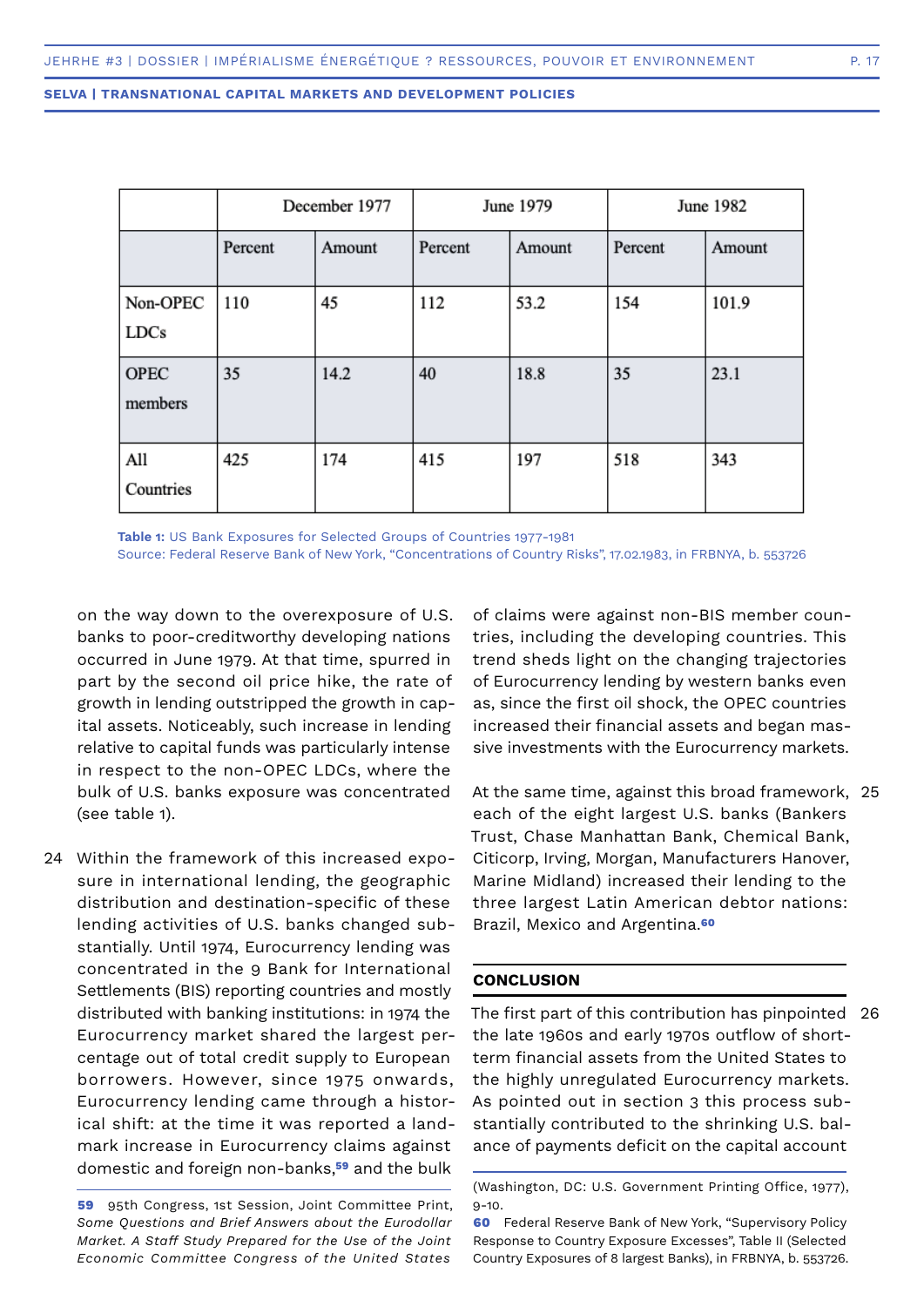|                         | December 1977 |        | June 1979 |        | June 1982 |        |
|-------------------------|---------------|--------|-----------|--------|-----------|--------|
|                         | Percent       | Amount | Percent   | Amount | Percent   | Amount |
| Non-OPEC<br><b>LDCs</b> | 110           | 45     | 112       | 53.2   | 154       | 101.9  |
| <b>OPEC</b><br>members  | 35            | 14.2   | 40        | 18.8   | 35        | 23.1   |
| All<br>Countries        | 425           | 174    | 415       | 197    | 518       | 343    |

**Table 1:** US Bank Exposures for Selected Groups of Countries 1977-1981 Source: Federal Reserve Bank of New York, "Concentrations of Country Risks", 17.02.1983, in FRBNYA, b. 553726

on the way down to the overexposure of U.S. banks to poor-creditworthy developing nations occurred in June 1979. At that time, spurred in part by the second oil price hike, the rate of growth in lending outstripped the growth in capital assets. Noticeably, such increase in lending relative to capital funds was particularly intense in respect to the non-OPEC LDCs, where the bulk of U.S. banks exposure was concentrated (see table 1).

Within the framework of this increased expo-24sure in international lending, the geographic distribution and destination-specific of these lending activities of U.S. banks changed substantially. Until 1974, Eurocurrency lending was concentrated in the 9 Bank for International Settlements (BIS) reporting countries and mostly distributed with banking institutions: in 1974 the Eurocurrency market shared the largest percentage out of total credit supply to European borrowers. However, since 1975 onwards, Eurocurrency lending came through a historical shift: at the time it was reported a landmark increase in Eurocurrency claims against domestic and foreign non-banks,**59** and the bulk

**59** 95th Congress, 1st Session, Joint Committee Print, *Some Questions and Brief Answers about the Eurodollar Market. A Staff Study Prepared for the Use of the Joint Economic Committee Congress of the United States*

of claims were against non-BIS member countries, including the developing countries. This trend sheds light on the changing trajectories of Eurocurrency lending by western banks even as, since the first oil shock, the OPEC countries increased their financial assets and began massive investments with the Eurocurrency markets.

At the same time, against this broad framework, 25 each of the eight largest U.S. banks (Bankers Trust, Chase Manhattan Bank, Chemical Bank, Citicorp, Irving, Morgan, Manufacturers Hanover, Marine Midland) increased their lending to the three largest Latin American debtor nations: Brazil, Mexico and Argentina.**<sup>60</sup>**

#### **CONCLUSION**

The first part of this contribution has pinpointed 26 the late 1960s and early 1970s outflow of shortterm financial assets from the United States to the highly unregulated Eurocurrency markets. As pointed out in section 3 this process substantially contributed to the shrinking U.S. balance of payments deficit on the capital account

<sup>(</sup>Washington, DC: U.S. Government Printing Office, 1977), 9-10.

**<sup>60</sup>** Federal Reserve Bank of New York, "Supervisory Policy Response to Country Exposure Excesses", Table II (Selected Country Exposures of 8 largest Banks), in FRBNYA, b. 553726.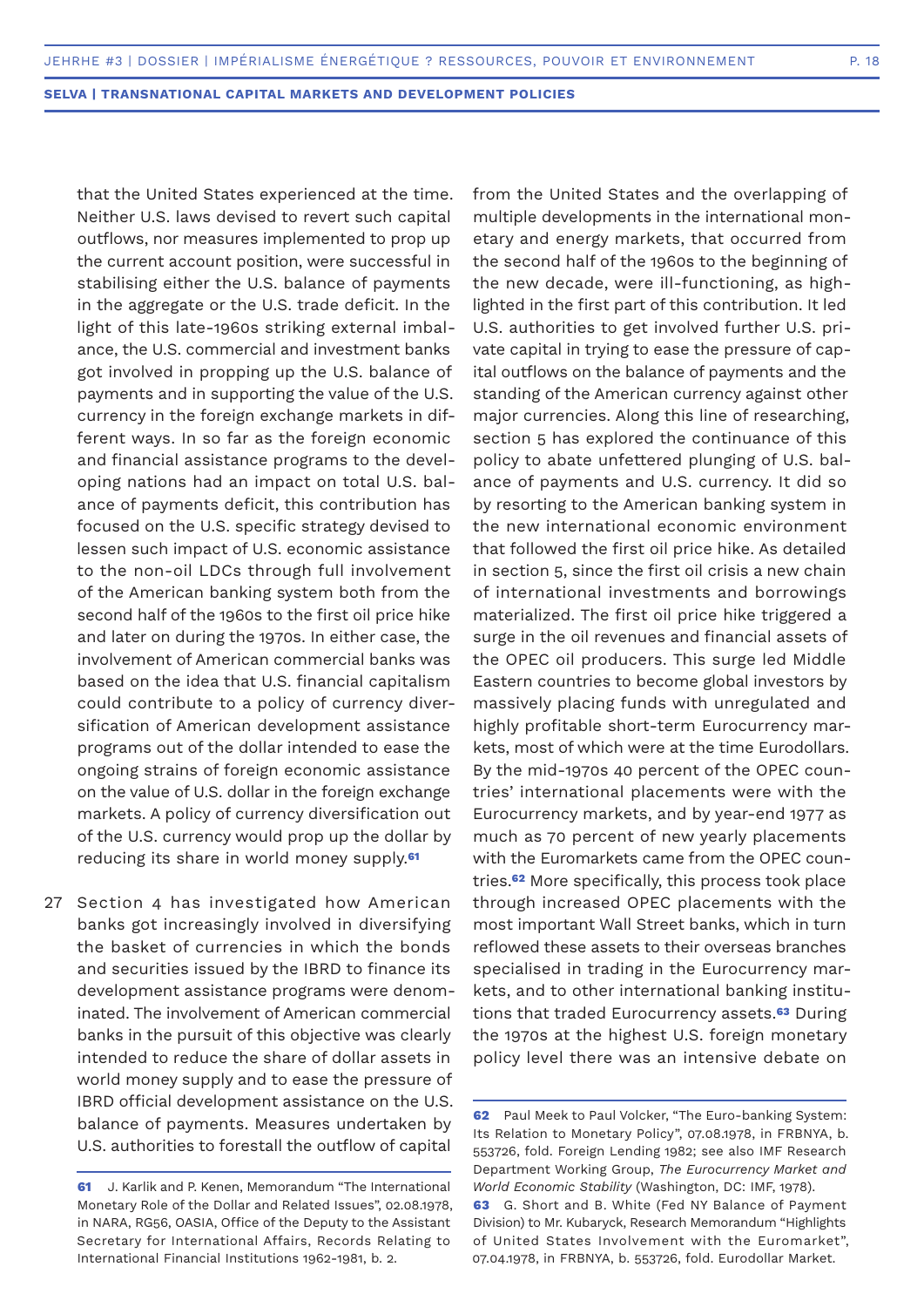that the United States experienced at the time. Neither U.S. laws devised to revert such capital outflows, nor measures implemented to prop up the current account position, were successful in stabilising either the U.S. balance of payments in the aggregate or the U.S. trade deficit. In the light of this late-1960s striking external imbalance, the U.S. commercial and investment banks got involved in propping up the U.S. balance of payments and in supporting the value of the U.S. currency in the foreign exchange markets in different ways. In so far as the foreign economic and financial assistance programs to the developing nations had an impact on total U.S. balance of payments deficit, this contribution has focused on the U.S. specific strategy devised to lessen such impact of U.S. economic assistance to the non-oil LDCs through full involvement of the American banking system both from the second half of the 1960s to the first oil price hike and later on during the 1970s. In either case, the involvement of American commercial banks was based on the idea that U.S. financial capitalism could contribute to a policy of currency diversification of American development assistance programs out of the dollar intended to ease the ongoing strains of foreign economic assistance on the value of U.S. dollar in the foreign exchange markets. A policy of currency diversification out of the U.S. currency would prop up the dollar by reducing its share in world money supply.**<sup>61</sup>**

27 Section 4 has investigated how American banks got increasingly involved in diversifying the basket of currencies in which the bonds and securities issued by the IBRD to finance its development assistance programs were denominated. The involvement of American commercial banks in the pursuit of this objective was clearly intended to reduce the share of dollar assets in world money supply and to ease the pressure of IBRD official development assistance on the U.S. balance of payments. Measures undertaken by U.S. authorities to forestall the outflow of capital

from the United States and the overlapping of multiple developments in the international monetary and energy markets, that occurred from the second half of the 1960s to the beginning of the new decade, were ill-functioning, as highlighted in the first part of this contribution. It led U.S. authorities to get involved further U.S. private capital in trying to ease the pressure of capital outflows on the balance of payments and the standing of the American currency against other major currencies. Along this line of researching, section 5 has explored the continuance of this policy to abate unfettered plunging of U.S. balance of payments and U.S. currency. It did so by resorting to the American banking system in the new international economic environment that followed the first oil price hike. As detailed in section 5, since the first oil crisis a new chain of international investments and borrowings materialized. The first oil price hike triggered a surge in the oil revenues and financial assets of the OPEC oil producers. This surge led Middle Eastern countries to become global investors by massively placing funds with unregulated and highly profitable short-term Eurocurrency markets, most of which were at the time Eurodollars. By the mid-1970s 40 percent of the OPEC countries' international placements were with the Eurocurrency markets, and by year-end 1977 as much as 70 percent of new yearly placements with the Euromarkets came from the OPEC countries.**62** More specifically, this process took place through increased OPEC placements with the most important Wall Street banks, which in turn reflowed these assets to their overseas branches specialised in trading in the Eurocurrency markets, and to other international banking institutions that traded Eurocurrency assets.**63** During the 1970s at the highest U.S. foreign monetary policy level there was an intensive debate on

**<sup>61</sup>** J. Karlik and P. Kenen, Memorandum "The International Monetary Role of the Dollar and Related Issues", 02.08.1978, in NARA, RG56, OASIA, Office of the Deputy to the Assistant Secretary for International Affairs, Records Relating to International Financial Institutions 1962-1981, b. 2.

**<sup>62</sup>** Paul Meek to Paul Volcker, "The Euro-banking System: Its Relation to Monetary Policy", 07.08.1978, in FRBNYA, b. 553726, fold. Foreign Lending 1982; see also IMF Research Department Working Group, *The Eurocurrency Market and World Economic Stability* (Washington, DC: IMF, 1978).

**<sup>63</sup>** G. Short and B. White (Fed NY Balance of Payment Division) to Mr. Kubaryck, Research Memorandum "Highlights of United States Involvement with the Euromarket", 07.04.1978, in FRBNYA, b. 553726, fold. Eurodollar Market.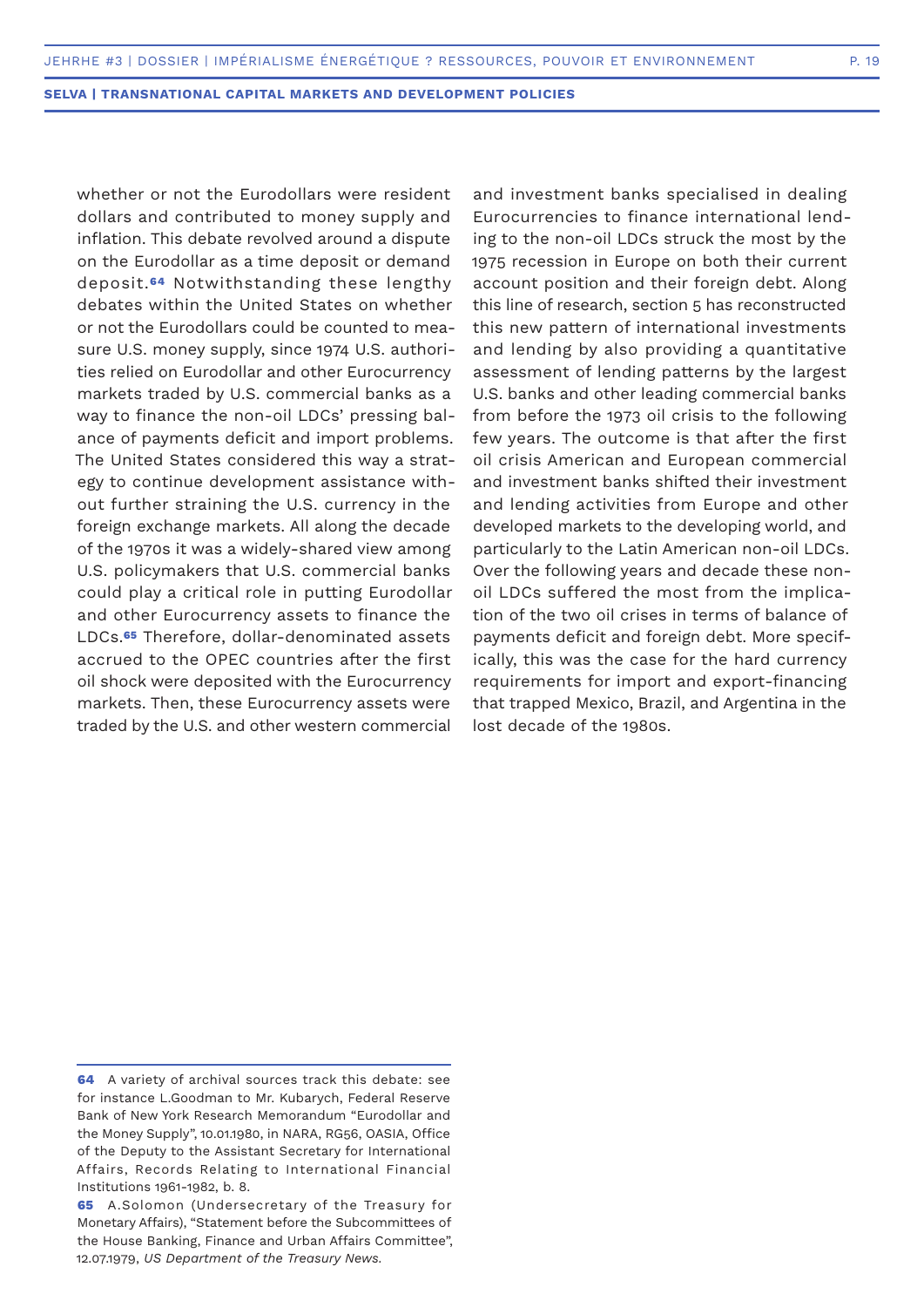whether or not the Eurodollars were resident dollars and contributed to money supply and inflation. This debate revolved around a dispute on the Eurodollar as a time deposit or demand deposit.**64** Notwithstanding these lengthy debates within the United States on whether or not the Eurodollars could be counted to measure U.S. money supply, since 1974 U.S. authorities relied on Eurodollar and other Eurocurrency markets traded by U.S. commercial banks as a way to finance the non-oil LDCs' pressing balance of payments deficit and import problems. The United States considered this way a strategy to continue development assistance without further straining the U.S. currency in the foreign exchange markets. All along the decade of the 1970s it was a widely-shared view among U.S. policymakers that U.S. commercial banks could play a critical role in putting Eurodollar and other Eurocurrency assets to finance the LDCs.**65** Therefore, dollar-denominated assets accrued to the OPEC countries after the first oil shock were deposited with the Eurocurrency markets. Then, these Eurocurrency assets were traded by the U.S. and other western commercial

and investment banks specialised in dealing Eurocurrencies to finance international lending to the non-oil LDCs struck the most by the 1975 recession in Europe on both their current account position and their foreign debt. Along this line of research, section 5 has reconstructed this new pattern of international investments and lending by also providing a quantitative assessment of lending patterns by the largest U.S. banks and other leading commercial banks from before the 1973 oil crisis to the following few years. The outcome is that after the first oil crisis American and European commercial and investment banks shifted their investment and lending activities from Europe and other developed markets to the developing world, and particularly to the Latin American non-oil LDCs. Over the following years and decade these nonoil LDCs suffered the most from the implication of the two oil crises in terms of balance of payments deficit and foreign debt. More specifically, this was the case for the hard currency requirements for import and export-financing that trapped Mexico, Brazil, and Argentina in the lost decade of the 1980s.

**<sup>64</sup>** A variety of archival sources track this debate: see for instance L.Goodman to Mr. Kubarych, Federal Reserve Bank of New York Research Memorandum "Eurodollar and the Money Supply", 10.01.1980, in NARA, RG56, OASIA, Office of the Deputy to the Assistant Secretary for International Affairs, Records Relating to International Financial Institutions 1961-1982, b. 8.

**<sup>65</sup>** A.Solomon (Undersecretary of the Treasury for Monetary Affairs), "Statement before the Subcommittees of the House Banking, Finance and Urban Affairs Committee", 12.07.1979, *US Department of the Treasury News.*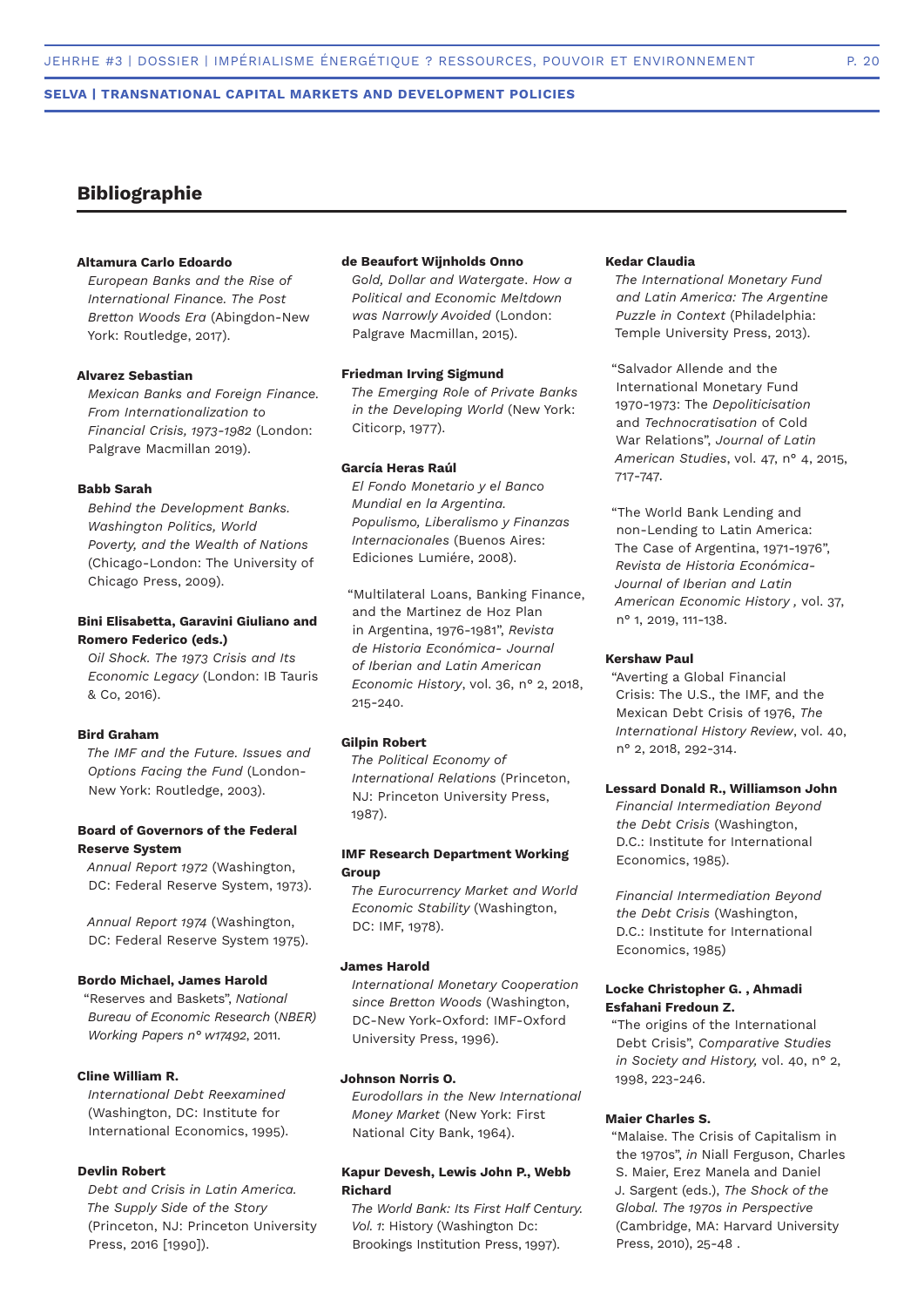### **Bibliographie**

#### **Altamura Carlo Edoardo**

*European Banks and the Rise of International Financ*e*. The Post Bretton Woods Era* (Abingdon-New York: Routledge, 2017).

#### **Alvarez Sebastian**

*Mexican Banks and Foreign Finance. From Internationalization to Financial Crisis, 1973-1982* (London: Palgrave Macmillan 2019).

#### **Babb Sarah**

*Behind the Development Banks. Washington Politics, World Poverty, and the Wealth of Nations* (Chicago-London: The University of Chicago Press, 2009).

#### **Bini Elisabetta, Garavini Giuliano and Romero Federico (eds.)**

*Oil Shock. The 1973 Crisis and Its Economic Legacy* (London: IB Tauris & Co, 2016).

#### **Bird Graham**

*The IMF and the Future. Issues and Options Facing the Fund* (London-New York: Routledge, 2003).

#### **Board of Governors of the Federal Reserve System**

*Annual Report 1972* (Washington, DC: Federal Reserve System, 1973).

*Annual Report 1974* (Washington, DC: Federal Reserve System 1975).

#### **Bordo Michael, James Harold**

"Reserves and Baskets", *National Bureau of Economic Research* (*NBER) Working Papers n° w17492*, 2011.

#### **Cline William R.**

*International Debt Reexamined* (Washington, DC: Institute for International Economics, 1995).

#### **Devlin Robert**

*Debt and Crisis in Latin America. The Supply Side of the Story* (Princeton, NJ: Princeton University Press, 2016 [1990]).

#### **de Beaufort Wijnholds Onno**

*Gold, Dollar and Watergate*. *How a Political and Economic Meltdown was Narrowly Avoided* (London: Palgrave Macmillan, 2015).

#### **Friedman Irving Sigmund**

*The Emerging Role of Private Banks in the Developing World* (New York: Citicorp, 1977).

#### **García Heras Raúl**

*El Fondo Monetario y el Banco Mundial en la Argentina. Populismo, Liberalismo y Finanzas Internacionales* (Buenos Aires: Ediciones Lumiére, 2008).

"Multilateral Loans, Banking Finance, and the Martinez de Hoz Plan in Argentina, 1976-1981", *Revista de Historia Económica- Journal of Iberian and Latin American Economic History*, vol. 36, n° 2, 2018, 215-240.

#### **Gilpin Robert**

*The Political Economy of International Relations* (Princeton, NJ: Princeton University Press, 1987).

#### **IMF Research Department Working Group**

*The Eurocurrency Market and World Economic Stability* (Washington, DC: IMF, 1978).

#### **James Harold**

*International Monetary Cooperation since Bretton Woods* (Washington, DC-New York-Oxford: IMF-Oxford University Press, 1996).

#### **Johnson Norris O.**

*Eurodollars in the New International Money Market* (New York: First National City Bank, 1964).

#### **Kapur Devesh, Lewis John P., Webb Richard**

*The World Bank: Its First Half Century. Vol. 1*: History (Washington Dc: Brookings Institution Press, 1997).

#### **Kedar Claudia**

*The International Monetary Fund and Latin America: The Argentine Puzzle in Context* (Philadelphia: Temple University Press, 2013).

"Salvador Allende and the International Monetary Fund 1970-1973: The *Depoliticisation* and *Technocratisation* of Cold War Relations", *Journal of Latin American Studies*, vol. 47, n° 4, 2015, 717-747.

"The World Bank Lending and non-Lending to Latin America: The Case of Argentina, 1971-1976", *Revista de Historia Económica-Journal of Iberian and Latin American Economic History ,* vol. 37, n° 1, 2019, 111-138.

#### **Kershaw Paul**

"Averting a Global Financial Crisis: The U.S., the IMF, and the Mexican Debt Crisis of 1976, *The International History Review*, vol. 40, n° 2, 2018, 292-314.

#### **Lessard Donald R., Williamson John**

*Financial Intermediation Beyond the Debt Crisis* (Washington, D.C.: Institute for International Economics, 1985).

*Financial Intermediation Beyond the Debt Crisis* (Washington, D.C.: Institute for International Economics, 1985)

#### **Locke Christopher G. , Ahmadi Esfahani Fredoun Z.**

"The origins of the International Debt Crisis", *Comparative Studies in Society and History,* vol. 40, n° 2, 1998, 223-246.

#### **Maier Charles S.**

"Malaise. The Crisis of Capitalism in the 1970s", *in* Niall Ferguson, Charles S. Maier, Erez Manela and Daniel J. Sargent (eds.), *The Shock of the Global. The 1970s in Perspective* (Cambridge, MA: Harvard University Press, 2010), 25-48 .